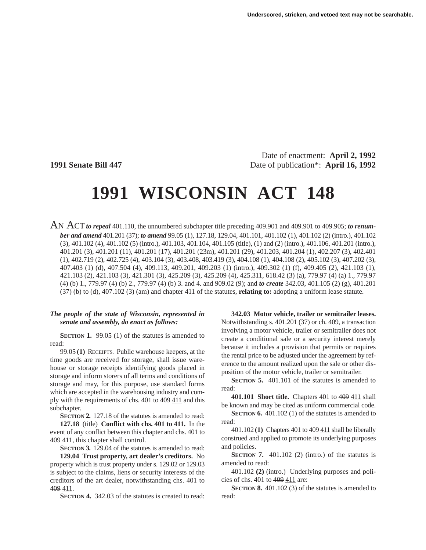Date of enactment: **April 2, 1992 1991 Senate Bill 447** Date of publication\*: **April 16, 1992**

# **1991 WISCONSIN ACT 148**

AN ACT *to repeal* 401.110, the unnumbered subchapter title preceding 409.901 and 409.901 to 409.905; *to renumber and amend* 401.201 (37); *to amend* 99.05 (1), 127.18, 129.04, 401.101, 401.102 (1), 401.102 (2) (intro.), 401.102 (3), 401.102 (4), 401.102 (5) (intro.), 401.103, 401.104, 401.105 (title), (1) and (2) (intro.), 401.106, 401.201 (intro.), 401.201 (3), 401.201 (11), 401.201 (17), 401.201 (23m), 401.201 (29), 401.203, 401.204 (1), 402.207 (3), 402.401 (1), 402.719 (2), 402.725 (4), 403.104 (3), 403.408, 403.419 (3), 404.108 (1), 404.108 (2), 405.102 (3), 407.202 (3), 407.403 (1) (d), 407.504 (4), 409.113, 409.201, 409.203 (1) (intro.), 409.302 (1) (f), 409.405 (2), 421.103 (1), 421.103 (2), 421.103 (3), 421.301 (3), 425.209 (3), 425.209 (4), 425.311, 618.42 (3) (a), 779.97 (4) (a) 1., 779.97 (4) (b) 1., 779.97 (4) (b) 2., 779.97 (4) (b) 3. and 4. and 909.02 (9); and *to create* 342.03, 401.105 (2) (g), 401.201 (37) (b) to (d), 407.102 (3) (am) and chapter 411 of the statutes, **relating to:** adopting a uniform lease statute.

### *The people of the state of Wisconsin, represented in senate and assembly, do enact as follows:*

**SECTION 1.** 99.05 (1) of the statutes is amended to read:

99.05 **(1)** RECEIPTS. Public warehouse keepers, at the time goods are received for storage, shall issue warehouse or storage receipts identifying goods placed in storage and inform storers of all terms and conditions of storage and may, for this purpose, use standard forms which are accepted in the warehousing industry and comply with the requirements of chs. 401 to 409 411 and this subchapter.

**SECTION 2.** 127.18 of the statutes is amended to read: **127.18** (title) **Conflict with chs. 401 to 411.** In the event of any conflict between this chapter and chs. 401 to 409 411, this chapter shall control.

**SECTION 3.** 129.04 of the statutes is amended to read:

**129.04 Trust property, art dealer's creditors.** No property which is trust property under s. 129.02 or 129.03 is subject to the claims, liens or security interests of the creditors of the art dealer, notwithstanding chs. 401 to 409 411.

**SECTION 4.** 342.03 of the statutes is created to read:

**342.03 Motor vehicle, trailer or semitrailer leases.** Notwithstanding s. 401.201 (37) or ch. 409, a transaction involving a motor vehicle, trailer or semitrailer does not create a conditional sale or a security interest merely because it includes a provision that permits or requires the rental price to be adjusted under the agreement by reference to the amount realized upon the sale or other disposition of the motor vehicle, trailer or semitrailer.

**SECTION 5.** 401.101 of the statutes is amended to read:

**401.101 Short title.** Chapters 401 to 409 411 shall be known and may be cited as uniform commercial code.

**SECTION 6.** 401.102 (1) of the statutes is amended to read:

401.102 **(1)** Chapters 401 to 409 411 shall be liberally construed and applied to promote its underlying purposes and policies.

**SECTION 7.** 401.102 (2) (intro.) of the statutes is amended to read:

401.102 **(2)** (intro.) Underlying purposes and policies of chs. 401 to 409 411 are:

**SECTION 8.** 401.102 (3) of the statutes is amended to read: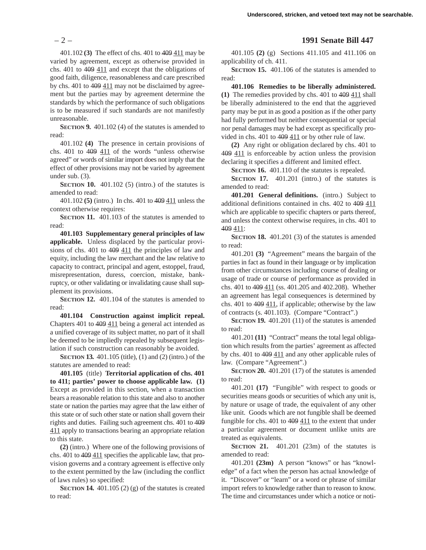401.102 **(3)** The effect of chs. 401 to 409 411 may be varied by agreement, except as otherwise provided in chs. 401 to 409 411 and except that the obligations of good faith, diligence, reasonableness and care prescribed by chs. 401 to 409 411 may not be disclaimed by agreement but the parties may by agreement determine the standards by which the performance of such obligations is to be measured if such standards are not manifestly unreasonable.

**SECTION 9.** 401.102 (4) of the statutes is amended to read:

401.102 **(4)** The presence in certain provisions of chs. 401 to  $409 \underline{411}$  of the words "unless otherwise agreed" or words of similar import does not imply that the effect of other provisions may not be varied by agreement under sub. (3).

**SECTION 10.** 401.102 (5) (intro.) of the statutes is amended to read:

401.102 **(5)** (intro.) In chs. 401 to 409 411 unless the context otherwise requires:

**SECTION 11.** 401.103 of the statutes is amended to read:

**401.103 Supplementary general principles of law applicable.** Unless displaced by the particular provisions of chs. 401 to 409 411 the principles of law and equity, including the law merchant and the law relative to capacity to contract, principal and agent, estoppel, fraud, misrepresentation, duress, coercion, mistake, bankruptcy, or other validating or invalidating cause shall supplement its provisions.

**SECTION 12.** 401.104 of the statutes is amended to read:

**401.104 Construction against implicit repeal.** Chapters 401 to 409 411 being a general act intended as a unified coverage of its subject matter, no part of it shall be deemed to be impliedly repealed by subsequent legislation if such construction can reasonably be avoided.

**SECTION 13.** 401.105 (title), (1) and (2) (intro.) of the statutes are amended to read:

**401.105** (title) **Territorial application of chs. 401 to 411; parties' power to choose applicable law. (1)** Except as provided in this section, when a transaction bears a reasonable relation to this state and also to another state or nation the parties may agree that the law either of this state or of such other state or nation shall govern their rights and duties. Failing such agreement chs. 401 to 409 411 apply to transactions bearing an appropriate relation to this state.

**(2)** (intro.) Where one of the following provisions of chs. 401 to 409 411 specifies the applicable law, that provision governs and a contrary agreement is effective only to the extent permitted by the law (including the conflict of laws rules) so specified:

**SECTION 14.** 401.105 (2) (g) of the statutes is created to read:

### – 2 – **1991 Senate Bill 447**

401.105 **(2)** (g) Sections 411.105 and 411.106 on applicability of ch. 411.

**SECTION 15.** 401.106 of the statutes is amended to read:

**401.106 Remedies to be liberally administered.**

**(1)** The remedies provided by chs. 401 to 409 411 shall be liberally administered to the end that the aggrieved party may be put in as good a position as if the other party had fully performed but neither consequential or special nor penal damages may be had except as specifically provided in chs. 401 to 409 411 or by other rule of law.

**(2)** Any right or obligation declared by chs. 401 to 409 411 is enforceable by action unless the provision declaring it specifies a different and limited effect.

**SECTION 16.** 401.110 of the statutes is repealed.

**SECTION 17.** 401.201 (intro.) of the statutes is amended to read:

**401.201 General definitions.** (intro.) Subject to additional definitions contained in chs. 402 to 409 411 which are applicable to specific chapters or parts thereof, and unless the context otherwise requires, in chs. 401 to 409 411:

**SECTION 18.** 401.201 (3) of the statutes is amended to read:

401.201 **(3)** "Agreement" means the bargain of the parties in fact as found in their language or by implication from other circumstances including course of dealing or usage of trade or course of performance as provided in chs. 401 to 409 411 (ss. 401.205 and 402.208). Whether an agreement has legal consequences is determined by chs. 401 to 409 411, if applicable; otherwise by the law of contracts (s. 401.103). (Compare "Contract".)

**SECTION 19.** 401.201 (11) of the statutes is amended to read:

401.201 **(11)** "Contract" means the total legal obligation which results from the parties' agreement as affected by chs. 401 to 409 411 and any other applicable rules of law. (Compare "Agreement".)

**SECTION 20.** 401.201 (17) of the statutes is amended to read:

401.201 **(17)** "Fungible" with respect to goods or securities means goods or securities of which any unit is, by nature or usage of trade, the equivalent of any other like unit. Goods which are not fungible shall be deemed fungible for chs. 401 to 409 411 to the extent that under a particular agreement or document unlike units are treated as equivalents.

**SECTION 21.** 401.201 (23m) of the statutes is amended to read:

401.201 **(23m)** A person "knows" or has "knowledge" of a fact when the person has actual knowledge of it. "Discover" or "learn" or a word or phrase of similar import refers to knowledge rather than to reason to know. The time and circumstances under which a notice or noti-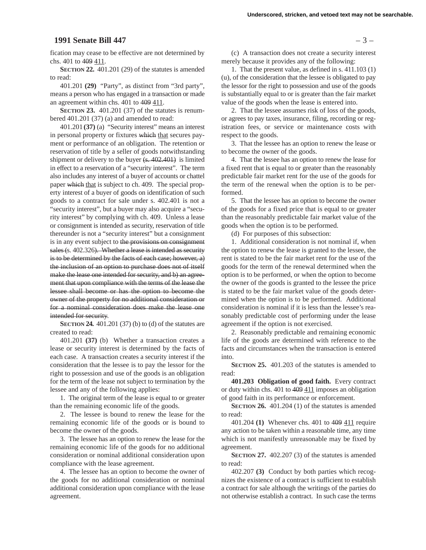### **1991 Senate Bill 447** – 3 –

fication may cease to be effective are not determined by chs. 401 to 409 411.

**SECTION 22.** 401.201 (29) of the statutes is amended to read:

401.201 **(29)** "Party", as distinct from "3rd party", means a person who has engaged in a transaction or made an agreement within chs. 401 to 409 411.

**SECTION 23.** 401.201 (37) of the statutes is renumbered 401.201 (37) (a) and amended to read:

401.201 **(37)** (a) "Security interest" means an interest in personal property or fixtures which that secures payment or performance of an obligation. The retention or reservation of title by a seller of goods notwithstanding shipment or delivery to the buyer (s. 402.401) is limited in effect to a reservation of a "security interest". The term also includes any interest of a buyer of accounts or chattel paper which that is subject to ch. 409. The special property interest of a buyer of goods on identification of such goods to a contract for sale under s. 402.401 is not a "security interest", but a buyer may also acquire a "security interest" by complying with ch. 409. Unless a lease or consignment is intended as security, reservation of title thereunder is not a "security interest" but a consignment is in any event subject to the provisions on consignment sales (s. 402.326). Whether a lease is intended as security is to be determined by the facts of each case; however, a) the inclusion of an option to purchase does not of itself make the lease one intended for security, and b) an agreement that upon compliance with the terms of the lease the lessee shall become or has the option to become the owner of the property for no additional consideration or for a nominal consideration does make the lease one intended for security.

**SECTION 24.** 401.201 (37) (b) to (d) of the statutes are created to read:

401.201 **(37)** (b) Whether a transaction creates a lease or security interest is determined by the facts of each case. A transaction creates a security interest if the consideration that the lessee is to pay the lessor for the right to possession and use of the goods is an obligation for the term of the lease not subject to termination by the lessee and any of the following applies:

1. The original term of the lease is equal to or greater than the remaining economic life of the goods.

2. The lessee is bound to renew the lease for the remaining economic life of the goods or is bound to become the owner of the goods.

3. The lessee has an option to renew the lease for the remaining economic life of the goods for no additional consideration or nominal additional consideration upon compliance with the lease agreement.

4. The lessee has an option to become the owner of the goods for no additional consideration or nominal additional consideration upon compliance with the lease agreement.

(c) A transaction does not create a security interest merely because it provides any of the following:

1. That the present value, as defined in s. 411.103 (1) (u), of the consideration that the lessee is obligated to pay the lessor for the right to possession and use of the goods is substantially equal to or is greater than the fair market value of the goods when the lease is entered into.

2. That the lessee assumes risk of loss of the goods, or agrees to pay taxes, insurance, filing, recording or registration fees, or service or maintenance costs with respect to the goods.

3. That the lessee has an option to renew the lease or to become the owner of the goods.

4. That the lessee has an option to renew the lease for a fixed rent that is equal to or greater than the reasonably predictable fair market rent for the use of the goods for the term of the renewal when the option is to be performed.

5. That the lessee has an option to become the owner of the goods for a fixed price that is equal to or greater than the reasonably predictable fair market value of the goods when the option is to be performed.

(d) For purposes of this subsection:

1. Additional consideration is not nominal if, when the option to renew the lease is granted to the lessee, the rent is stated to be the fair market rent for the use of the goods for the term of the renewal determined when the option is to be performed, or when the option to become the owner of the goods is granted to the lessee the price is stated to be the fair market value of the goods determined when the option is to be performed. Additional consideration is nominal if it is less than the lessee's reasonably predictable cost of performing under the lease agreement if the option is not exercised.

2. Reasonably predictable and remaining economic life of the goods are determined with reference to the facts and circumstances when the transaction is entered into.

**SECTION 25.** 401.203 of the statutes is amended to read:

**401.203 Obligation of good faith.** Every contract or duty within chs. 401 to 409 411 imposes an obligation of good faith in its performance or enforcement.

**SECTION 26.** 401.204 (1) of the statutes is amended to read:

401.204 **(1)** Whenever chs. 401 to 409 411 require any action to be taken within a reasonable time, any time which is not manifestly unreasonable may be fixed by agreement.

**SECTION 27.** 402.207 (3) of the statutes is amended to read:

402.207 **(3)** Conduct by both parties which recognizes the existence of a contract is sufficient to establish a contract for sale although the writings of the parties do not otherwise establish a contract. In such case the terms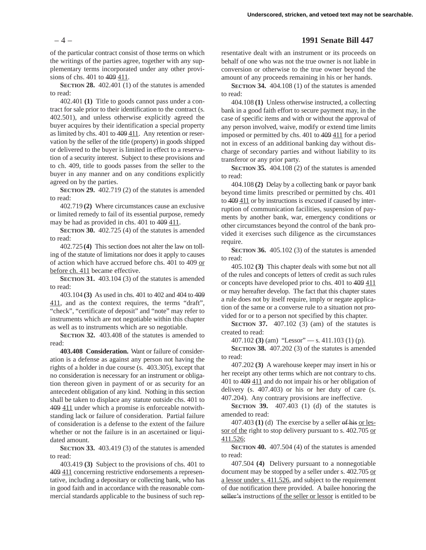### – 4 – **1991 Senate Bill 447**

of the particular contract consist of those terms on which the writings of the parties agree, together with any supplementary terms incorporated under any other provisions of chs. 401 to 409 411.

**SECTION 28.** 402.401 (1) of the statutes is amended to read:

402.401 **(1)** Title to goods cannot pass under a contract for sale prior to their identification to the contract (s. 402.501), and unless otherwise explicitly agreed the buyer acquires by their identification a special property as limited by chs. 401 to 409 411. Any retention or reservation by the seller of the title (property) in goods shipped or delivered to the buyer is limited in effect to a reservation of a security interest. Subject to these provisions and to ch. 409, title to goods passes from the seller to the buyer in any manner and on any conditions explicitly agreed on by the parties.

**SECTION 29.** 402.719 (2) of the statutes is amended to read:

402.719 **(2)** Where circumstances cause an exclusive or limited remedy to fail of its essential purpose, remedy may be had as provided in chs. 401 to 409 411.

**SECTION 30.** 402.725 (4) of the statutes is amended to read:

402.725 **(4)** This section does not alter the law on tolling of the statute of limitations nor does it apply to causes of action which have accrued before chs. 401 to 409 or before ch. 411 became effective.

**SECTION 31.** 403.104 (3) of the statutes is amended to read:

403.104 **(3)** As used in chs. 401 to 402 and 404 to 409 411, and as the context requires, the terms "draft", "check", "certificate of deposit" and "note" may refer to instruments which are not negotiable within this chapter as well as to instruments which are so negotiable.

**SECTION 32.** 403.408 of the statutes is amended to read:

**403.408 Consideration.** Want or failure of consideration is a defense as against any person not having the rights of a holder in due course (s. 403.305), except that no consideration is necessary for an instrument or obligation thereon given in payment of or as security for an antecedent obligation of any kind. Nothing in this section shall be taken to displace any statute outside chs. 401 to 409 411 under which a promise is enforceable notwithstanding lack or failure of consideration. Partial failure of consideration is a defense to the extent of the failure whether or not the failure is in an ascertained or liquidated amount.

**SECTION 33.** 403.419 (3) of the statutes is amended to read:

403.419 **(3)** Subject to the provisions of chs. 401 to 409 411 concerning restrictive endorsements a representative, including a depositary or collecting bank, who has in good faith and in accordance with the reasonable commercial standards applicable to the business of such rep-

resentative dealt with an instrument or its proceeds on behalf of one who was not the true owner is not liable in conversion or otherwise to the true owner beyond the amount of any proceeds remaining in his or her hands.

**SECTION 34.** 404.108 (1) of the statutes is amended to read:

404.108 **(1)** Unless otherwise instructed, a collecting bank in a good faith effort to secure payment may, in the case of specific items and with or without the approval of any person involved, waive, modify or extend time limits imposed or permitted by chs. 401 to 409 411 for a period not in excess of an additional banking day without discharge of secondary parties and without liability to its transferor or any prior party.

**SECTION 35.** 404.108 (2) of the statutes is amended to read:

404.108 **(2)** Delay by a collecting bank or payor bank beyond time limits prescribed or permitted by chs. 401 to 409 411 or by instructions is excused if caused by interruption of communication facilities, suspension of payments by another bank, war, emergency conditions or other circumstances beyond the control of the bank provided it exercises such diligence as the circumstances require.

**SECTION 36.** 405.102 (3) of the statutes is amended to read:

405.102 **(3)** This chapter deals with some but not all of the rules and concepts of letters of credit as such rules or concepts have developed prior to chs. 401 to 409 411 or may hereafter develop. The fact that this chapter states a rule does not by itself require, imply or negate application of the same or a converse rule to a situation not provided for or to a person not specified by this chapter.

**SECTION 37.** 407.102 (3) (am) of the statutes is created to read:

407.102 **(3)** (am) "Lessor" — s. 411.103 (1) (p).

**SECTION 38.** 407.202 (3) of the statutes is amended to read:

407.202 **(3)** A warehouse keeper may insert in his or her receipt any other terms which are not contrary to chs. 401 to 409 411 and do not impair his or her obligation of delivery (s. 407.403) or his or her duty of care (s. 407.204). Any contrary provisions are ineffective.

**SECTION 39.** 407.403 (1) (d) of the statutes is amended to read:

407.403 **(1)** (d) The exercise by a seller of his or lessor of the right to stop delivery pursuant to s. 402.705 or 411.526;

**SECTION 40.** 407.504 (4) of the statutes is amended to read:

407.504 **(4)** Delivery pursuant to a nonnegotiable document may be stopped by a seller under s. 402.705 or a lessor under s. 411.526, and subject to the requirement of due notification there provided. A bailee honoring the seller's instructions of the seller or lessor is entitled to be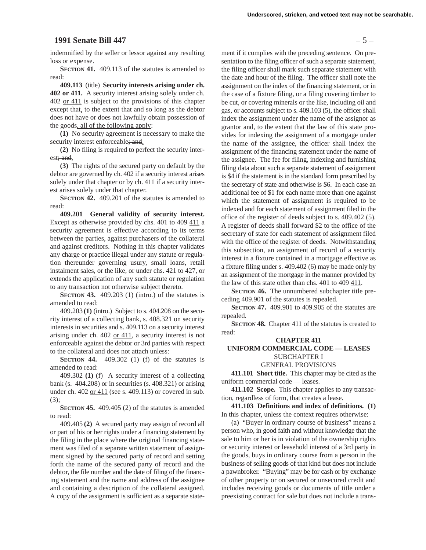### **1991 Senate Bill 447** – 5 –

indemnified by the seller or lessor against any resulting loss or expense.

**SECTION 41.** 409.113 of the statutes is amended to read:

**409.113** (title) **Security interests arising under ch. 402 or 411.** A security interest arising solely under ch. 402 or 411 is subject to the provisions of this chapter except that, to the extent that and so long as the debtor does not have or does not lawfully obtain possession of the goods, all of the following apply:

**(1)** No security agreement is necessary to make the security interest enforceable; and.

**(2)** No filing is required to perfect the security interest; and.

**(3)** The rights of the secured party on default by the debtor are governed by ch. 402 if a security interest arises solely under that chapter or by ch. 411 if a security interest arises solely under that chapter.

**SECTION 42.** 409.201 of the statutes is amended to read:

**409.201 General validity of security interest.** Except as otherwise provided by chs. 401 to 409 411 a security agreement is effective according to its terms between the parties, against purchasers of the collateral and against creditors. Nothing in this chapter validates any charge or practice illegal under any statute or regulation thereunder governing usury, small loans, retail instalment sales, or the like, or under chs. 421 to 427, or extends the application of any such statute or regulation to any transaction not otherwise subject thereto.

**SECTION 43.** 409.203 (1) (intro.) of the statutes is amended to read:

409.203 **(1)** (intro.) Subject to s. 404.208 on the security interest of a collecting bank, s. 408.321 on security interests in securities and s. 409.113 on a security interest arising under ch. 402 or 411, a security interest is not enforceable against the debtor or 3rd parties with respect to the collateral and does not attach unless:

**SECTION 44.** 409.302 (1) (f) of the statutes is amended to read:

409.302 **(1)** (f) A security interest of a collecting bank (s. 404.208) or in securities (s. 408.321) or arising under ch. 402 <u>or 411</u> (see s. 409.113) or covered in sub. (3);

**SECTION 45.** 409.405 (2) of the statutes is amended to read:

409.405 **(2)** A secured party may assign of record all or part of his or her rights under a financing statement by the filing in the place where the original financing statement was filed of a separate written statement of assignment signed by the secured party of record and setting forth the name of the secured party of record and the debtor, the file number and the date of filing of the financing statement and the name and address of the assignee and containing a description of the collateral assigned. A copy of the assignment is sufficient as a separate statement if it complies with the preceding sentence. On presentation to the filing officer of such a separate statement, the filing officer shall mark such separate statement with the date and hour of the filing. The officer shall note the assignment on the index of the financing statement, or in the case of a fixture filing, or a filing covering timber to be cut, or covering minerals or the like, including oil and gas, or accounts subject to s. 409.103 (5), the officer shall index the assignment under the name of the assignor as grantor and, to the extent that the law of this state provides for indexing the assignment of a mortgage under the name of the assignee, the officer shall index the assignment of the financing statement under the name of the assignee. The fee for filing, indexing and furnishing filing data about such a separate statement of assignment is \$4 if the statement is in the standard form prescribed by the secretary of state and otherwise is \$6. In each case an additional fee of \$1 for each name more than one against which the statement of assignment is required to be indexed and for each statement of assignment filed in the office of the register of deeds subject to s. 409.402 (5). A register of deeds shall forward \$2 to the office of the secretary of state for each statement of assignment filed with the office of the register of deeds. Notwithstanding this subsection, an assignment of record of a security interest in a fixture contained in a mortgage effective as a fixture filing under s. 409.402 (6) may be made only by an assignment of the mortgage in the manner provided by the law of this state other than chs.  $401$  to  $409$   $411$ .

**SECTION 46.** The unnumbered subchapter title preceding 409.901 of the statutes is repealed.

**SECTION 47.** 409.901 to 409.905 of the statutes are repealed.

**SECTION 48.** Chapter 411 of the statutes is created to read:

### **CHAPTER 411**

### **UNIFORM COMMERCIAL CODE — LEASES** SUBCHAPTER I

GENERAL PROVISIONS

**411.101 Short title.** This chapter may be cited as the uniform commercial code — leases.

**411.102 Scope.** This chapter applies to any transaction, regardless of form, that creates a lease.

**411.103 Definitions and index of definitions. (1)** In this chapter, unless the context requires otherwise:

(a) "Buyer in ordinary course of business" means a person who, in good faith and without knowledge that the sale to him or her is in violation of the ownership rights or security interest or leasehold interest of a 3rd party in the goods, buys in ordinary course from a person in the business of selling goods of that kind but does not include a pawnbroker. "Buying" may be for cash or by exchange of other property or on secured or unsecured credit and includes receiving goods or documents of title under a preexisting contract for sale but does not include a trans-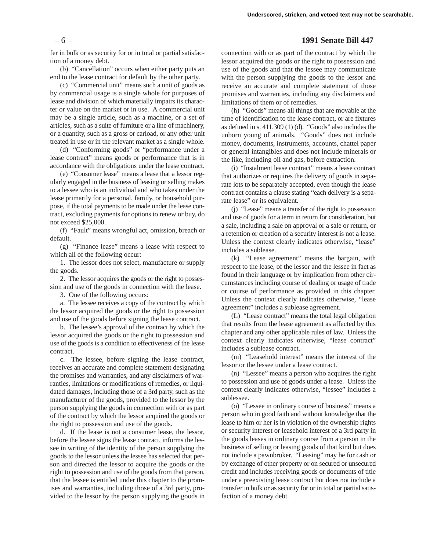### – 6 – **1991 Senate Bill 447**

fer in bulk or as security for or in total or partial satisfaction of a money debt.

(b) "Cancellation" occurs when either party puts an end to the lease contract for default by the other party.

(c) "Commercial unit" means such a unit of goods as by commercial usage is a single whole for purposes of lease and division of which materially impairs its character or value on the market or in use. A commercial unit may be a single article, such as a machine, or a set of articles, such as a suite of furniture or a line of machinery, or a quantity, such as a gross or carload, or any other unit treated in use or in the relevant market as a single whole.

(d) "Conforming goods" or "performance under a lease contract" means goods or performance that is in accordance with the obligations under the lease contract.

(e) "Consumer lease" means a lease that a lessor regularly engaged in the business of leasing or selling makes to a lessee who is an individual and who takes under the lease primarily for a personal, family, or household purpose, if the total payments to be made under the lease contract, excluding payments for options to renew or buy, do not exceed \$25,000.

(f) "Fault" means wrongful act, omission, breach or default.

(g) "Finance lease" means a lease with respect to which all of the following occur:

1. The lessor does not select, manufacture or supply the goods.

2. The lessor acquires the goods or the right to possession and use of the goods in connection with the lease.

3. One of the following occurs:

a. The lessee receives a copy of the contract by which the lessor acquired the goods or the right to possession and use of the goods before signing the lease contract.

b. The lessee's approval of the contract by which the lessor acquired the goods or the right to possession and use of the goods is a condition to effectiveness of the lease contract.

c. The lessee, before signing the lease contract, receives an accurate and complete statement designating the promises and warranties, and any disclaimers of warranties, limitations or modifications of remedies, or liquidated damages, including those of a 3rd party, such as the manufacturer of the goods, provided to the lessor by the person supplying the goods in connection with or as part of the contract by which the lessor acquired the goods or the right to possession and use of the goods.

d. If the lease is not a consumer lease, the lessor, before the lessee signs the lease contract, informs the lessee in writing of the identity of the person supplying the goods to the lessor unless the lessee has selected that person and directed the lessor to acquire the goods or the right to possession and use of the goods from that person, that the lessee is entitled under this chapter to the promises and warranties, including those of a 3rd party, provided to the lessor by the person supplying the goods in

connection with or as part of the contract by which the lessor acquired the goods or the right to possession and use of the goods and that the lessee may communicate with the person supplying the goods to the lessor and receive an accurate and complete statement of those promises and warranties, including any disclaimers and limitations of them or of remedies.

(h) "Goods" means all things that are movable at the time of identification to the lease contract, or are fixtures as defined in s. 411.309 (1) (d). "Goods" also includes the unborn young of animals. "Goods" does not include money, documents, instruments, accounts, chattel paper or general intangibles and does not include minerals or the like, including oil and gas, before extraction.

(i) "Instalment lease contract" means a lease contract that authorizes or requires the delivery of goods in separate lots to be separately accepted, even though the lease contract contains a clause stating "each delivery is a separate lease" or its equivalent.

(j) "Lease" means a transfer of the right to possession and use of goods for a term in return for consideration, but a sale, including a sale on approval or a sale or return, or a retention or creation of a security interest is not a lease. Unless the context clearly indicates otherwise, "lease" includes a sublease.

(k) "Lease agreement" means the bargain, with respect to the lease, of the lessor and the lessee in fact as found in their language or by implication from other circumstances including course of dealing or usage of trade or course of performance as provided in this chapter. Unless the context clearly indicates otherwise, "lease agreement" includes a sublease agreement.

(L) "Lease contract" means the total legal obligation that results from the lease agreement as affected by this chapter and any other applicable rules of law. Unless the context clearly indicates otherwise, "lease contract" includes a sublease contract.

(m) "Leasehold interest" means the interest of the lessor or the lessee under a lease contract.

(n) "Lessee" means a person who acquires the right to possession and use of goods under a lease. Unless the context clearly indicates otherwise, "lessee" includes a sublessee.

(o) "Lessee in ordinary course of business" means a person who in good faith and without knowledge that the lease to him or her is in violation of the ownership rights or security interest or leasehold interest of a 3rd party in the goods leases in ordinary course from a person in the business of selling or leasing goods of that kind but does not include a pawnbroker. "Leasing" may be for cash or by exchange of other property or on secured or unsecured credit and includes receiving goods or documents of title under a preexisting lease contract but does not include a transfer in bulk or as security for or in total or partial satisfaction of a money debt.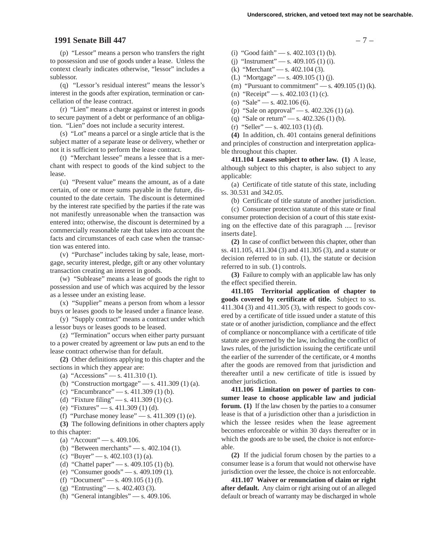### **1991 Senate Bill 447** – 7 –

(p) "Lessor" means a person who transfers the right to possession and use of goods under a lease. Unless the context clearly indicates otherwise, "lessor" includes a sublessor.

(q) "Lessor's residual interest" means the lessor's interest in the goods after expiration, termination or cancellation of the lease contract.

(r) "Lien" means a charge against or interest in goods to secure payment of a debt or performance of an obligation. "Lien" does not include a security interest.

(s) "Lot" means a parcel or a single article that is the subject matter of a separate lease or delivery, whether or not it is sufficient to perform the lease contract.

(t) "Merchant lessee" means a lessee that is a merchant with respect to goods of the kind subject to the lease.

(u) "Present value" means the amount, as of a date certain, of one or more sums payable in the future, discounted to the date certain. The discount is determined by the interest rate specified by the parties if the rate was not manifestly unreasonable when the transaction was entered into; otherwise, the discount is determined by a commercially reasonable rate that takes into account the facts and circumstances of each case when the transaction was entered into.

(v) "Purchase" includes taking by sale, lease, mortgage, security interest, pledge, gift or any other voluntary transaction creating an interest in goods.

(w) "Sublease" means a lease of goods the right to possession and use of which was acquired by the lessor as a lessee under an existing lease.

(x) "Supplier" means a person from whom a lessor buys or leases goods to be leased under a finance lease.

(y) "Supply contract" means a contract under which a lessor buys or leases goods to be leased.

(z) "Termination" occurs when either party pursuant to a power created by agreement or law puts an end to the lease contract otherwise than for default.

**(2)** Other definitions applying to this chapter and the sections in which they appear are:

```
(a) "Accessions" — s. 411.310(1).
```
(b) "Construction mortgage" — s. 411.309 (1) (a).

- (c) "Encumbrance" s. 411.309 (1) (b).
- (d) "Fixture filing" s. 411.309 (1) (c).
- (e) "Fixtures" s.  $411.309$  (1) (d).
- (f) "Purchase money lease" s.  $411.309$  (1) (e).

**(3)** The following definitions in other chapters apply to this chapter:

- (a) "Account" s. 409.106.
- (b) "Between merchants" s. 402.104 (1).
- (c) "Buyer" s. 402.103 (1) (a).
- (d) "Chattel paper" s. 409.105 (1) (b).
- (e) "Consumer goods" s. 409.109 (1).
- (f) "Document" s. 409.105 (1) (f).
- (g) "Entrusting" s. 402.403 (3).
- (h) "General intangibles"  $-$  s. 409.106.
- (i) "Good faith" s.  $402.103$  (1) (b).
- (i) "Instrument" s. 409.105 (1) (i).
- (k) "Merchant" s. 402.104 (3).
- (L) "Mortgage" s. 409.105 (1) (j).
- (m) "Pursuant to commitment"  $-$  s. 409.105 (1) (k).
- (n) "Receipt" s. 402.103 (1) (c).
- (o) "Sale" s. 402.106 (6).
- (p) "Sale on approval" s. 402.326 (1) (a).
- (q) "Sale or return" s.  $402.326(1)$  (b).
- $(r)$  "Seller" s. 402.103 (1) (d).

**(4)** In addition, ch. 401 contains general definitions and principles of construction and interpretation applicable throughout this chapter.

**411.104 Leases subject to other law. (1)** A lease, although subject to this chapter, is also subject to any applicable:

(a) Certificate of title statute of this state, including ss. 30.531 and 342.05.

(b) Certificate of title statute of another jurisdiction.

(c) Consumer protection statute of this state or final consumer protection decision of a court of this state existing on the effective date of this paragraph .... [revisor inserts date].

**(2)** In case of conflict between this chapter, other than ss. 411.105, 411.304 (3) and 411.305 (3), and a statute or decision referred to in sub. (1), the statute or decision referred to in sub. (1) controls.

**(3)** Failure to comply with an applicable law has only the effect specified therein.

**411.105 Territorial application of chapter to goods covered by certificate of title.** Subject to ss. 411.304 (3) and 411.305 (3), with respect to goods covered by a certificate of title issued under a statute of this state or of another jurisdiction, compliance and the effect of compliance or noncompliance with a certificate of title statute are governed by the law, including the conflict of laws rules, of the jurisdiction issuing the certificate until the earlier of the surrender of the certificate, or 4 months after the goods are removed from that jurisdiction and thereafter until a new certificate of title is issued by another jurisdiction.

**411.106 Limitation on power of parties to consumer lease to choose applicable law and judicial forum. (1)** If the law chosen by the parties to a consumer lease is that of a jurisdiction other than a jurisdiction in which the lessee resides when the lease agreement becomes enforceable or within 30 days thereafter or in which the goods are to be used, the choice is not enforceable.

**(2)** If the judicial forum chosen by the parties to a consumer lease is a forum that would not otherwise have jurisdiction over the lessee, the choice is not enforceable.

**411.107 Waiver or renunciation of claim or right after default.** Any claim or right arising out of an alleged default or breach of warranty may be discharged in whole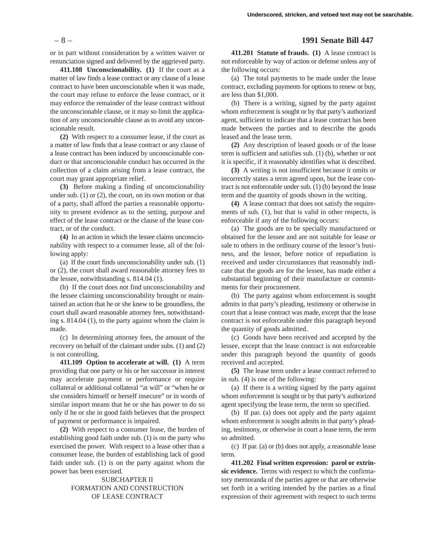or in part without consideration by a written waiver or renunciation signed and delivered by the aggrieved party.

**411.108 Unconscionability. (1)** If the court as a matter of law finds a lease contract or any clause of a lease contract to have been unconscionable when it was made, the court may refuse to enforce the lease contract, or it may enforce the remainder of the lease contract without the unconscionable clause, or it may so limit the application of any unconscionable clause as to avoid any unconscionable result.

**(2)** With respect to a consumer lease, if the court as a matter of law finds that a lease contract or any clause of a lease contract has been induced by unconscionable conduct or that unconscionable conduct has occurred in the collection of a claim arising from a lease contract, the court may grant appropriate relief.

**(3)** Before making a finding of unconscionability under sub. (1) or (2), the court, on its own motion or that of a party, shall afford the parties a reasonable opportunity to present evidence as to the setting, purpose and effect of the lease contract or the clause of the lease contract, or of the conduct.

**(4)** In an action in which the lessee claims unconscionability with respect to a consumer lease, all of the following apply:

(a) If the court finds unconscionability under sub. (1) or (2), the court shall award reasonable attorney fees to the lessee, notwithstanding s. 814.04 (1).

(b) If the court does not find unconscionability and the lessee claiming unconscionability brought or maintained an action that he or she knew to be groundless, the court shall award reasonable attorney fees, notwithstanding s. 814.04 (1), to the party against whom the claim is made.

(c) In determining attorney fees, the amount of the recovery on behalf of the claimant under subs. (1) and (2) is not controlling.

**411.109 Option to accelerate at will. (1)** A term providing that one party or his or her successor in interest may accelerate payment or performance or require collateral or additional collateral "at will" or "when he or she considers himself or herself insecure" or in words of similar import means that he or she has power to do so only if he or she in good faith believes that the prospect of payment or performance is impaired.

**(2)** With respect to a consumer lease, the burden of establishing good faith under sub. (1) is on the party who exercised the power. With respect to a lease other than a consumer lease, the burden of establishing lack of good faith under sub. (1) is on the party against whom the power has been exercised.

> SUBCHAPTER II FORMATION AND CONSTRUCTION OF LEASE CONTRACT

### – 8 – **1991 Senate Bill 447**

**411.201 Statute of frauds. (1)** A lease contract is not enforceable by way of action or defense unless any of the following occurs:

(a) The total payments to be made under the lease contract, excluding payments for options to renew or buy, are less than \$1,000.

(b) There is a writing, signed by the party against whom enforcement is sought or by that party's authorized agent, sufficient to indicate that a lease contract has been made between the parties and to describe the goods leased and the lease term.

**(2)** Any description of leased goods or of the lease term is sufficient and satisfies sub. (1) (b), whether or not it is specific, if it reasonably identifies what is described.

**(3)** A writing is not insufficient because it omits or incorrectly states a term agreed upon, but the lease contract is not enforceable under sub. (1) (b) beyond the lease term and the quantity of goods shown in the writing.

**(4)** A lease contract that does not satisfy the requirements of sub. (1), but that is valid in other respects, is enforceable if any of the following occurs:

(a) The goods are to be specially manufactured or obtained for the lessee and are not suitable for lease or sale to others in the ordinary course of the lessor's business, and the lessor, before notice of repudiation is received and under circumstances that reasonably indicate that the goods are for the lessee, has made either a substantial beginning of their manufacture or commitments for their procurement.

(b) The party against whom enforcement is sought admits in that party's pleading, testimony or otherwise in court that a lease contract was made, except that the lease contract is not enforceable under this paragraph beyond the quantity of goods admitted.

(c) Goods have been received and accepted by the lessee, except that the lease contract is not enforceable under this paragraph beyond the quantity of goods received and accepted.

**(5)** The lease term under a lease contract referred to in sub. (4) is one of the following:

(a) If there is a writing signed by the party against whom enforcement is sought or by that party's authorized agent specifying the lease term, the term so specified.

(b) If par. (a) does not apply and the party against whom enforcement is sought admits in that party's pleading, testimony, or otherwise in court a lease term, the term so admitted.

(c) If par. (a) or (b) does not apply, a reasonable lease term.

**411.202 Final written expression: parol or extrinsic evidence.** Terms with respect to which the confirmatory memoranda of the parties agree or that are otherwise set forth in a writing intended by the parties as a final expression of their agreement with respect to such terms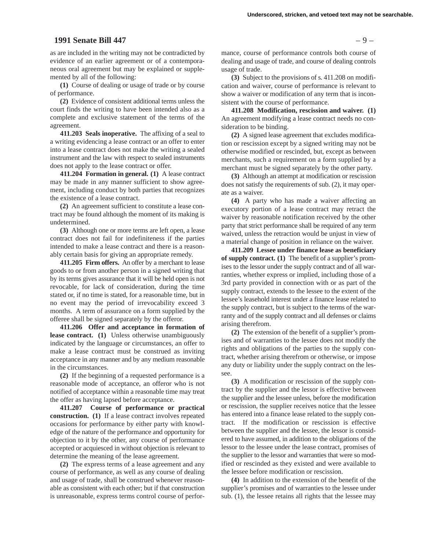### **1991 Senate Bill 447** – 9 – **1991 Senate Bill 447**

as are included in the writing may not be contradicted by evidence of an earlier agreement or of a contemporaneous oral agreement but may be explained or supplemented by all of the following:

**(1)** Course of dealing or usage of trade or by course of performance.

**(2)** Evidence of consistent additional terms unless the court finds the writing to have been intended also as a complete and exclusive statement of the terms of the agreement.

**411.203 Seals inoperative.** The affixing of a seal to a writing evidencing a lease contract or an offer to enter into a lease contract does not make the writing a sealed instrument and the law with respect to sealed instruments does not apply to the lease contract or offer.

**411.204 Formation in general. (1)** A lease contract may be made in any manner sufficient to show agreement, including conduct by both parties that recognizes the existence of a lease contract.

**(2)** An agreement sufficient to constitute a lease contract may be found although the moment of its making is undetermined.

**(3)** Although one or more terms are left open, a lease contract does not fail for indefiniteness if the parties intended to make a lease contract and there is a reasonably certain basis for giving an appropriate remedy.

**411.205 Firm offers.** An offer by a merchant to lease goods to or from another person in a signed writing that by its terms gives assurance that it will be held open is not revocable, for lack of consideration, during the time stated or, if no time is stated, for a reasonable time, but in no event may the period of irrevocability exceed 3 months. A term of assurance on a form supplied by the offeree shall be signed separately by the offeror.

**411.206 Offer and acceptance in formation of lease contract. (1)** Unless otherwise unambiguously indicated by the language or circumstances, an offer to make a lease contract must be construed as inviting acceptance in any manner and by any medium reasonable in the circumstances.

**(2)** If the beginning of a requested performance is a reasonable mode of acceptance, an offeror who is not notified of acceptance within a reasonable time may treat the offer as having lapsed before acceptance.

**411.207 Course of performance or practical construction. (1)** If a lease contract involves repeated occasions for performance by either party with knowledge of the nature of the performance and opportunity for objection to it by the other, any course of performance accepted or acquiesced in without objection is relevant to determine the meaning of the lease agreement.

**(2)** The express terms of a lease agreement and any course of performance, as well as any course of dealing and usage of trade, shall be construed whenever reasonable as consistent with each other; but if that construction is unreasonable, express terms control course of performance, course of performance controls both course of dealing and usage of trade, and course of dealing controls usage of trade.

**(3)** Subject to the provisions of s. 411.208 on modification and waiver, course of performance is relevant to show a waiver or modification of any term that is inconsistent with the course of performance.

**411.208 Modification, rescission and waiver. (1)** An agreement modifying a lease contract needs no consideration to be binding.

**(2)** A signed lease agreement that excludes modification or rescission except by a signed writing may not be otherwise modified or rescinded, but, except as between merchants, such a requirement on a form supplied by a merchant must be signed separately by the other party.

**(3)** Although an attempt at modification or rescission does not satisfy the requirements of sub. (2), it may operate as a waiver.

**(4)** A party who has made a waiver affecting an executory portion of a lease contract may retract the waiver by reasonable notification received by the other party that strict performance shall be required of any term waived, unless the retraction would be unjust in view of a material change of position in reliance on the waiver.

**411.209 Lessee under finance lease as beneficiary of supply contract. (1)** The benefit of a supplier's promises to the lessor under the supply contract and of all warranties, whether express or implied, including those of a 3rd party provided in connection with or as part of the supply contract, extends to the lessee to the extent of the lessee's leasehold interest under a finance lease related to the supply contract, but is subject to the terms of the warranty and of the supply contract and all defenses or claims arising therefrom.

**(2)** The extension of the benefit of a supplier's promises and of warranties to the lessee does not modify the rights and obligations of the parties to the supply contract, whether arising therefrom or otherwise, or impose any duty or liability under the supply contract on the lessee.

**(3)** A modification or rescission of the supply contract by the supplier and the lessor is effective between the supplier and the lessee unless, before the modification or rescission, the supplier receives notice that the lessee has entered into a finance lease related to the supply contract. If the modification or rescission is effective between the supplier and the lessee, the lessor is considered to have assumed, in addition to the obligations of the lessor to the lessee under the lease contract, promises of the supplier to the lessor and warranties that were so modified or rescinded as they existed and were available to the lessee before modification or rescission.

**(4)** In addition to the extension of the benefit of the supplier's promises and of warranties to the lessee under sub. (1), the lessee retains all rights that the lessee may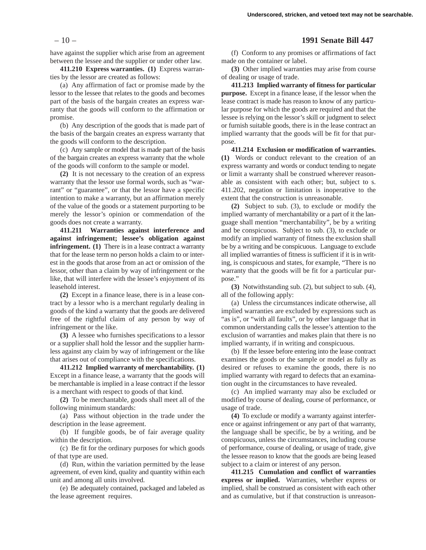have against the supplier which arise from an agreement between the lessee and the supplier or under other law.

**411.210 Express warranties. (1)** Express warranties by the lessor are created as follows:

(a) Any affirmation of fact or promise made by the lessor to the lessee that relates to the goods and becomes part of the basis of the bargain creates an express warranty that the goods will conform to the affirmation or promise.

(b) Any description of the goods that is made part of the basis of the bargain creates an express warranty that the goods will conform to the description.

(c) Any sample or model that is made part of the basis of the bargain creates an express warranty that the whole of the goods will conform to the sample or model.

**(2)** It is not necessary to the creation of an express warranty that the lessor use formal words, such as "warrant" or "guarantee", or that the lessor have a specific intention to make a warranty, but an affirmation merely of the value of the goods or a statement purporting to be merely the lessor's opinion or commendation of the goods does not create a warranty.

**411.211 Warranties against interference and against infringement; lessee's obligation against infringement.** (1) There is in a lease contract a warranty that for the lease term no person holds a claim to or interest in the goods that arose from an act or omission of the lessor, other than a claim by way of infringement or the like, that will interfere with the lessee's enjoyment of its leasehold interest.

**(2)** Except in a finance lease, there is in a lease contract by a lessor who is a merchant regularly dealing in goods of the kind a warranty that the goods are delivered free of the rightful claim of any person by way of infringement or the like.

**(3)** A lessee who furnishes specifications to a lessor or a supplier shall hold the lessor and the supplier harmless against any claim by way of infringement or the like that arises out of compliance with the specifications.

**411.212 Implied warranty of merchantability. (1)** Except in a finance lease, a warranty that the goods will be merchantable is implied in a lease contract if the lessor is a merchant with respect to goods of that kind.

**(2)** To be merchantable, goods shall meet all of the following minimum standards:

(a) Pass without objection in the trade under the description in the lease agreement.

(b) If fungible goods, be of fair average quality within the description.

(c) Be fit for the ordinary purposes for which goods of that type are used.

(d) Run, within the variation permitted by the lease agreement, of even kind, quality and quantity within each unit and among all units involved.

(e) Be adequately contained, packaged and labeled as the lease agreement requires.

# – 10 – **1991 Senate Bill 447**

(f) Conform to any promises or affirmations of fact made on the container or label.

**(3)** Other implied warranties may arise from course of dealing or usage of trade.

**411.213 Implied warranty of fitness for particular purpose.** Except in a finance lease, if the lessor when the lease contract is made has reason to know of any particular purpose for which the goods are required and that the lessee is relying on the lessor's skill or judgment to select or furnish suitable goods, there is in the lease contract an implied warranty that the goods will be fit for that purpose.

**411.214 Exclusion or modification of warranties. (1)** Words or conduct relevant to the creation of an express warranty and words or conduct tending to negate or limit a warranty shall be construed wherever reasonable as consistent with each other; but, subject to s. 411.202, negation or limitation is inoperative to the extent that the construction is unreasonable.

**(2)** Subject to sub. (3), to exclude or modify the implied warranty of merchantability or a part of it the language shall mention "merchantability", be by a writing and be conspicuous. Subject to sub. (3), to exclude or modify an implied warranty of fitness the exclusion shall be by a writing and be conspicuous. Language to exclude all implied warranties of fitness is sufficient if it is in writing, is conspicuous and states, for example, "There is no warranty that the goods will be fit for a particular purpose."

**(3)** Notwithstanding sub. (2), but subject to sub. (4), all of the following apply:

(a) Unless the circumstances indicate otherwise, all implied warranties are excluded by expressions such as "as is", or "with all faults", or by other language that in common understanding calls the lessee's attention to the exclusion of warranties and makes plain that there is no implied warranty, if in writing and conspicuous.

(b) If the lessee before entering into the lease contract examines the goods or the sample or model as fully as desired or refuses to examine the goods, there is no implied warranty with regard to defects that an examination ought in the circumstances to have revealed.

(c) An implied warranty may also be excluded or modified by course of dealing, course of performance, or usage of trade.

**(4)** To exclude or modify a warranty against interference or against infringement or any part of that warranty, the language shall be specific, be by a writing, and be conspicuous, unless the circumstances, including course of performance, course of dealing, or usage of trade, give the lessee reason to know that the goods are being leased subject to a claim or interest of any person.

**411.215 Cumulation and conflict of warranties express or implied.** Warranties, whether express or implied, shall be construed as consistent with each other and as cumulative, but if that construction is unreason-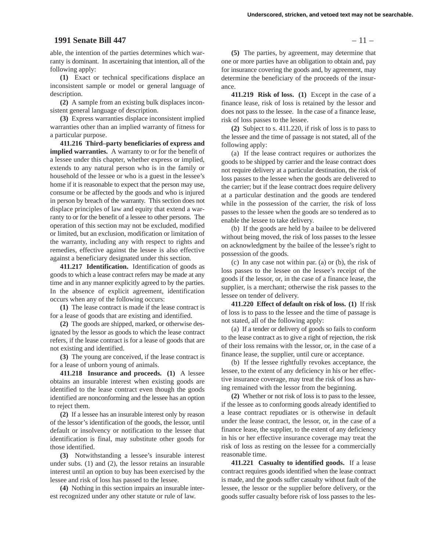### **1991 Senate Bill 447** – 11 –

able, the intention of the parties determines which warranty is dominant. In ascertaining that intention, all of the following apply:

**(1)** Exact or technical specifications displace an inconsistent sample or model or general language of description.

**(2)** A sample from an existing bulk displaces inconsistent general language of description.

**(3)** Express warranties displace inconsistent implied warranties other than an implied warranty of fitness for a particular purpose.

**411.216 Third–party beneficiaries of express and implied warranties.** A warranty to or for the benefit of a lessee under this chapter, whether express or implied, extends to any natural person who is in the family or household of the lessee or who is a guest in the lessee's home if it is reasonable to expect that the person may use, consume or be affected by the goods and who is injured in person by breach of the warranty. This section does not displace principles of law and equity that extend a warranty to or for the benefit of a lessee to other persons. The operation of this section may not be excluded, modified or limited, but an exclusion, modification or limitation of the warranty, including any with respect to rights and remedies, effective against the lessee is also effective against a beneficiary designated under this section.

**411.217 Identification.** Identification of goods as goods to which a lease contract refers may be made at any time and in any manner explicitly agreed to by the parties. In the absence of explicit agreement, identification occurs when any of the following occurs:

**(1)** The lease contract is made if the lease contract is for a lease of goods that are existing and identified.

**(2)** The goods are shipped, marked, or otherwise designated by the lessor as goods to which the lease contract refers, if the lease contract is for a lease of goods that are not existing and identified.

**(3)** The young are conceived, if the lease contract is for a lease of unborn young of animals.

**411.218 Insurance and proceeds. (1)** A lessee obtains an insurable interest when existing goods are identified to the lease contract even though the goods identified are nonconforming and the lessee has an option to reject them.

**(2)** If a lessee has an insurable interest only by reason of the lessor's identification of the goods, the lessor, until default or insolvency or notification to the lessee that identification is final, may substitute other goods for those identified.

**(3)** Notwithstanding a lessee's insurable interest under subs. (1) and (2), the lessor retains an insurable interest until an option to buy has been exercised by the lessee and risk of loss has passed to the lessee.

**(4)** Nothing in this section impairs an insurable interest recognized under any other statute or rule of law.

**(5)** The parties, by agreement, may determine that one or more parties have an obligation to obtain and, pay for insurance covering the goods and, by agreement, may determine the beneficiary of the proceeds of the insurance.

**411.219 Risk of loss. (1)** Except in the case of a finance lease, risk of loss is retained by the lessor and does not pass to the lessee. In the case of a finance lease, risk of loss passes to the lessee.

**(2)** Subject to s. 411.220, if risk of loss is to pass to the lessee and the time of passage is not stated, all of the following apply:

(a) If the lease contract requires or authorizes the goods to be shipped by carrier and the lease contract does not require delivery at a particular destination, the risk of loss passes to the lessee when the goods are delivered to the carrier; but if the lease contract does require delivery at a particular destination and the goods are tendered while in the possession of the carrier, the risk of loss passes to the lessee when the goods are so tendered as to enable the lessee to take delivery.

(b) If the goods are held by a bailee to be delivered without being moved, the risk of loss passes to the lessee on acknowledgment by the bailee of the lessee's right to possession of the goods.

(c) In any case not within par. (a) or (b), the risk of loss passes to the lessee on the lessee's receipt of the goods if the lessor, or, in the case of a finance lease, the supplier, is a merchant; otherwise the risk passes to the lessee on tender of delivery.

**411.220 Effect of default on risk of loss. (1)** If risk of loss is to pass to the lessee and the time of passage is not stated, all of the following apply:

(a) If a tender or delivery of goods so fails to conform to the lease contract as to give a right of rejection, the risk of their loss remains with the lessor, or, in the case of a finance lease, the supplier, until cure or acceptance.

(b) If the lessee rightfully revokes acceptance, the lessee, to the extent of any deficiency in his or her effective insurance coverage, may treat the risk of loss as having remained with the lessor from the beginning.

**(2)** Whether or not risk of loss is to pass to the lessee, if the lessee as to conforming goods already identified to a lease contract repudiates or is otherwise in default under the lease contract, the lessor, or, in the case of a finance lease, the supplier, to the extent of any deficiency in his or her effective insurance coverage may treat the risk of loss as resting on the lessee for a commercially reasonable time.

**411.221 Casualty to identified goods.** If a lease contract requires goods identified when the lease contract is made, and the goods suffer casualty without fault of the lessee, the lessor or the supplier before delivery, or the goods suffer casualty before risk of loss passes to the les-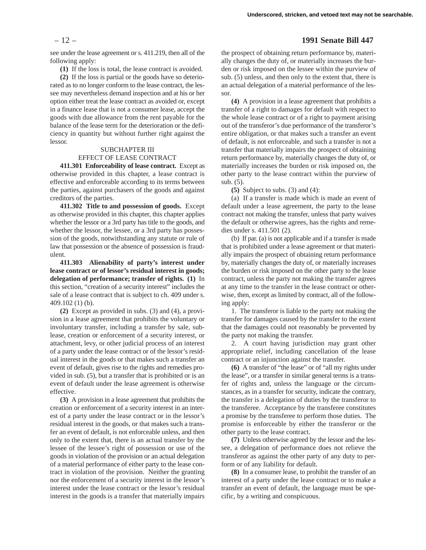### – 12 – **1991 Senate Bill 447**

see under the lease agreement or s. 411.219, then all of the following apply:

**(1)** If the loss is total, the lease contract is avoided.

**(2)** If the loss is partial or the goods have so deteriorated as to no longer conform to the lease contract, the lessee may nevertheless demand inspection and at his or her option either treat the lease contract as avoided or, except in a finance lease that is not a consumer lease, accept the goods with due allowance from the rent payable for the balance of the lease term for the deterioration or the deficiency in quantity but without further right against the lessor.

### SUBCHAPTER III

### EFFECT OF LEASE CONTRACT

**411.301 Enforceability of lease contract.** Except as otherwise provided in this chapter, a lease contract is effective and enforceable according to its terms between the parties, against purchasers of the goods and against creditors of the parties.

**411.302 Title to and possession of goods.** Except as otherwise provided in this chapter, this chapter applies whether the lessor or a 3rd party has title to the goods, and whether the lessor, the lessee, or a 3rd party has possession of the goods, notwithstanding any statute or rule of law that possession or the absence of possession is fraudulent.

**411.303 Alienability of party's interest under lease contract or of lessor's residual interest in goods; delegation of performance; transfer of rights. (1)** In this section, "creation of a security interest" includes the sale of a lease contract that is subject to ch. 409 under s. 409.102 (1) (b).

**(2)** Except as provided in subs. (3) and (4), a provision in a lease agreement that prohibits the voluntary or involuntary transfer, including a transfer by sale, sublease, creation or enforcement of a security interest, or attachment, levy, or other judicial process of an interest of a party under the lease contract or of the lessor's residual interest in the goods or that makes such a transfer an event of default, gives rise to the rights and remedies provided in sub. (5), but a transfer that is prohibited or is an event of default under the lease agreement is otherwise effective.

**(3)** A provision in a lease agreement that prohibits the creation or enforcement of a security interest in an interest of a party under the lease contract or in the lessor's residual interest in the goods, or that makes such a transfer an event of default, is not enforceable unless, and then only to the extent that, there is an actual transfer by the lessee of the lessee's right of possession or use of the goods in violation of the provision or an actual delegation of a material performance of either party to the lease contract in violation of the provision. Neither the granting nor the enforcement of a security interest in the lessor's interest under the lease contract or the lessor's residual interest in the goods is a transfer that materially impairs

the prospect of obtaining return performance by, materially changes the duty of, or materially increases the burden or risk imposed on the lessee within the purview of sub. (5) unless, and then only to the extent that, there is an actual delegation of a material performance of the lessor.

**(4)** A provision in a lease agreement that prohibits a transfer of a right to damages for default with respect to the whole lease contract or of a right to payment arising out of the transferor's due performance of the transferor's entire obligation, or that makes such a transfer an event of default, is not enforceable, and such a transfer is not a transfer that materially impairs the prospect of obtaining return performance by, materially changes the duty of, or materially increases the burden or risk imposed on, the other party to the lease contract within the purview of sub. (5).

**(5)** Subject to subs. (3) and (4):

(a) If a transfer is made which is made an event of default under a lease agreement, the party to the lease contract not making the transfer, unless that party waives the default or otherwise agrees, has the rights and remedies under s. 411.501 (2).

(b) If par. (a) is not applicable and if a transfer is made that is prohibited under a lease agreement or that materially impairs the prospect of obtaining return performance by, materially changes the duty of, or materially increases the burden or risk imposed on the other party to the lease contract, unless the party not making the transfer agrees at any time to the transfer in the lease contract or otherwise, then, except as limited by contract, all of the following apply:

1. The transferor is liable to the party not making the transfer for damages caused by the transfer to the extent that the damages could not reasonably be prevented by the party not making the transfer.

2. A court having jurisdiction may grant other appropriate relief, including cancellation of the lease contract or an injunction against the transfer.

**(6)** A transfer of "the lease" or of "all my rights under the lease", or a transfer in similar general terms is a transfer of rights and, unless the language or the circumstances, as in a transfer for security, indicate the contrary, the transfer is a delegation of duties by the transferor to the transferee. Acceptance by the transferee constitutes a promise by the transferee to perform those duties. The promise is enforceable by either the transferor or the other party to the lease contract.

**(7)** Unless otherwise agreed by the lessor and the lessee, a delegation of performance does not relieve the transferor as against the other party of any duty to perform or of any liability for default.

**(8)** In a consumer lease, to prohibit the transfer of an interest of a party under the lease contract or to make a transfer an event of default, the language must be specific, by a writing and conspicuous.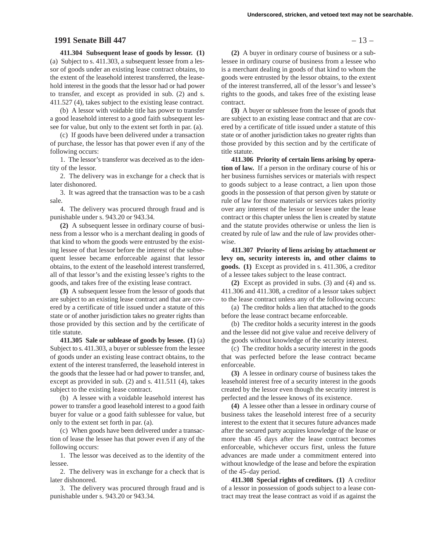### **1991 Senate Bill 447** – 13 –

**411.304 Subsequent lease of goods by lessor. (1)**

(a) Subject to s. 411.303, a subsequent lessee from a lessor of goods under an existing lease contract obtains, to the extent of the leasehold interest transferred, the leasehold interest in the goods that the lessor had or had power to transfer, and except as provided in sub. (2) and s. 411.527 (4), takes subject to the existing lease contract.

(b) A lessor with voidable title has power to transfer a good leasehold interest to a good faith subsequent lessee for value, but only to the extent set forth in par. (a).

(c) If goods have been delivered under a transaction of purchase, the lessor has that power even if any of the following occurs:

1. The lessor's transferor was deceived as to the identity of the lessor.

2. The delivery was in exchange for a check that is later dishonored.

3. It was agreed that the transaction was to be a cash sale.

4. The delivery was procured through fraud and is punishable under s. 943.20 or 943.34.

**(2)** A subsequent lessee in ordinary course of business from a lessor who is a merchant dealing in goods of that kind to whom the goods were entrusted by the existing lessee of that lessor before the interest of the subsequent lessee became enforceable against that lessor obtains, to the extent of the leasehold interest transferred, all of that lessor's and the existing lessee's rights to the goods, and takes free of the existing lease contract.

**(3)** A subsequent lessee from the lessor of goods that are subject to an existing lease contract and that are covered by a certificate of title issued under a statute of this state or of another jurisdiction takes no greater rights than those provided by this section and by the certificate of title statute.

**411.305 Sale or sublease of goods by lessee. (1)** (a) Subject to s. 411.303, a buyer or sublessee from the lessee of goods under an existing lease contract obtains, to the extent of the interest transferred, the leasehold interest in the goods that the lessee had or had power to transfer, and, except as provided in sub. (2) and s. 411.511 (4), takes subject to the existing lease contract.

(b) A lessee with a voidable leasehold interest has power to transfer a good leasehold interest to a good faith buyer for value or a good faith sublessee for value, but only to the extent set forth in par. (a).

(c) When goods have been delivered under a transaction of lease the lessee has that power even if any of the following occurs:

1. The lessor was deceived as to the identity of the lessee.

2. The delivery was in exchange for a check that is later dishonored.

3. The delivery was procured through fraud and is punishable under s. 943.20 or 943.34.

**(2)** A buyer in ordinary course of business or a sublessee in ordinary course of business from a lessee who is a merchant dealing in goods of that kind to whom the goods were entrusted by the lessor obtains, to the extent of the interest transferred, all of the lessor's and lessee's rights to the goods, and takes free of the existing lease contract.

**(3)** A buyer or sublessee from the lessee of goods that are subject to an existing lease contract and that are covered by a certificate of title issued under a statute of this state or of another jurisdiction takes no greater rights than those provided by this section and by the certificate of title statute.

**411.306 Priority of certain liens arising by operation of law.** If a person in the ordinary course of his or her business furnishes services or materials with respect to goods subject to a lease contract, a lien upon those goods in the possession of that person given by statute or rule of law for those materials or services takes priority over any interest of the lessor or lessee under the lease contract or this chapter unless the lien is created by statute and the statute provides otherwise or unless the lien is created by rule of law and the rule of law provides otherwise.

**411.307 Priority of liens arising by attachment or levy on, security interests in, and other claims to goods. (1)** Except as provided in s. 411.306, a creditor of a lessee takes subject to the lease contract.

**(2)** Except as provided in subs. (3) and (4) and ss. 411.306 and 411.308, a creditor of a lessor takes subject to the lease contract unless any of the following occurs:

(a) The creditor holds a lien that attached to the goods before the lease contract became enforceable.

(b) The creditor holds a security interest in the goods and the lessee did not give value and receive delivery of the goods without knowledge of the security interest.

(c) The creditor holds a security interest in the goods that was perfected before the lease contract became enforceable.

**(3)** A lessee in ordinary course of business takes the leasehold interest free of a security interest in the goods created by the lessor even though the security interest is perfected and the lessee knows of its existence.

**(4)** A lessee other than a lessee in ordinary course of business takes the leasehold interest free of a security interest to the extent that it secures future advances made after the secured party acquires knowledge of the lease or more than 45 days after the lease contract becomes enforceable, whichever occurs first, unless the future advances are made under a commitment entered into without knowledge of the lease and before the expiration of the 45–day period.

**411.308 Special rights of creditors. (1)** A creditor of a lessor in possession of goods subject to a lease contract may treat the lease contract as void if as against the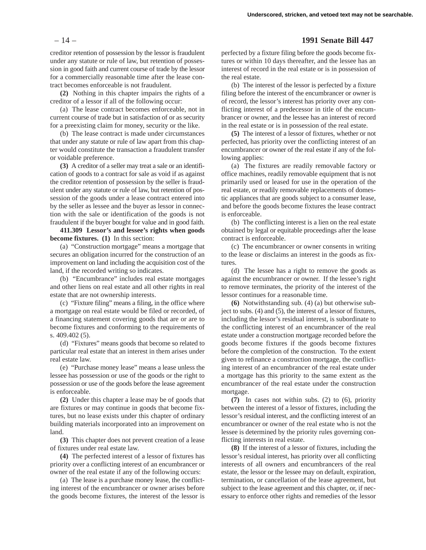creditor retention of possession by the lessor is fraudulent under any statute or rule of law, but retention of possession in good faith and current course of trade by the lessor for a commercially reasonable time after the lease contract becomes enforceable is not fraudulent.

**(2)** Nothing in this chapter impairs the rights of a creditor of a lessor if all of the following occur:

(a) The lease contract becomes enforceable, not in current course of trade but in satisfaction of or as security for a preexisting claim for money, security or the like.

(b) The lease contract is made under circumstances that under any statute or rule of law apart from this chapter would constitute the transaction a fraudulent transfer or voidable preference.

**(3)** A creditor of a seller may treat a sale or an identification of goods to a contract for sale as void if as against the creditor retention of possession by the seller is fraudulent under any statute or rule of law, but retention of possession of the goods under a lease contract entered into by the seller as lessee and the buyer as lessor in connection with the sale or identification of the goods is not fraudulent if the buyer bought for value and in good faith.

**411.309 Lessor's and lessee's rights when goods become fixtures. (1)** In this section:

(a) "Construction mortgage" means a mortgage that secures an obligation incurred for the construction of an improvement on land including the acquisition cost of the land, if the recorded writing so indicates.

(b) "Encumbrance" includes real estate mortgages and other liens on real estate and all other rights in real estate that are not ownership interests.

(c) "Fixture filing" means a filing, in the office where a mortgage on real estate would be filed or recorded, of a financing statement covering goods that are or are to become fixtures and conforming to the requirements of s. 409.402 (5).

(d) "Fixtures" means goods that become so related to particular real estate that an interest in them arises under real estate law.

(e) "Purchase money lease" means a lease unless the lessee has possession or use of the goods or the right to possession or use of the goods before the lease agreement is enforceable.

**(2)** Under this chapter a lease may be of goods that are fixtures or may continue in goods that become fixtures, but no lease exists under this chapter of ordinary building materials incorporated into an improvement on land.

**(3)** This chapter does not prevent creation of a lease of fixtures under real estate law.

**(4)** The perfected interest of a lessor of fixtures has priority over a conflicting interest of an encumbrancer or owner of the real estate if any of the following occurs:

(a) The lease is a purchase money lease, the conflicting interest of the encumbrancer or owner arises before the goods become fixtures, the interest of the lessor is

# – 14 – **1991 Senate Bill 447**

perfected by a fixture filing before the goods become fixtures or within 10 days thereafter, and the lessee has an interest of record in the real estate or is in possession of the real estate.

(b) The interest of the lessor is perfected by a fixture filing before the interest of the encumbrancer or owner is of record, the lessor's interest has priority over any conflicting interest of a predecessor in title of the encumbrancer or owner, and the lessee has an interest of record in the real estate or is in possession of the real estate.

**(5)** The interest of a lessor of fixtures, whether or not perfected, has priority over the conflicting interest of an encumbrancer or owner of the real estate if any of the following applies:

(a) The fixtures are readily removable factory or office machines, readily removable equipment that is not primarily used or leased for use in the operation of the real estate, or readily removable replacements of domestic appliances that are goods subject to a consumer lease, and before the goods become fixtures the lease contract is enforceable.

(b) The conflicting interest is a lien on the real estate obtained by legal or equitable proceedings after the lease contract is enforceable.

(c) The encumbrancer or owner consents in writing to the lease or disclaims an interest in the goods as fixtures.

(d) The lessee has a right to remove the goods as against the encumbrancer or owner. If the lessee's right to remove terminates, the priority of the interest of the lessor continues for a reasonable time.

**(6)** Notwithstanding sub. (4) (a) but otherwise subject to subs. (4) and (5), the interest of a lessor of fixtures, including the lessor's residual interest, is subordinate to the conflicting interest of an encumbrancer of the real estate under a construction mortgage recorded before the goods become fixtures if the goods become fixtures before the completion of the construction. To the extent given to refinance a construction mortgage, the conflicting interest of an encumbrancer of the real estate under a mortgage has this priority to the same extent as the encumbrancer of the real estate under the construction mortgage.

**(7)** In cases not within subs. (2) to (6), priority between the interest of a lessor of fixtures, including the lessor's residual interest, and the conflicting interest of an encumbrancer or owner of the real estate who is not the lessee is determined by the priority rules governing conflicting interests in real estate.

**(8)** If the interest of a lessor of fixtures, including the lessor's residual interest, has priority over all conflicting interests of all owners and encumbrancers of the real estate, the lessor or the lessee may on default, expiration, termination, or cancellation of the lease agreement, but subject to the lease agreement and this chapter, or, if necessary to enforce other rights and remedies of the lessor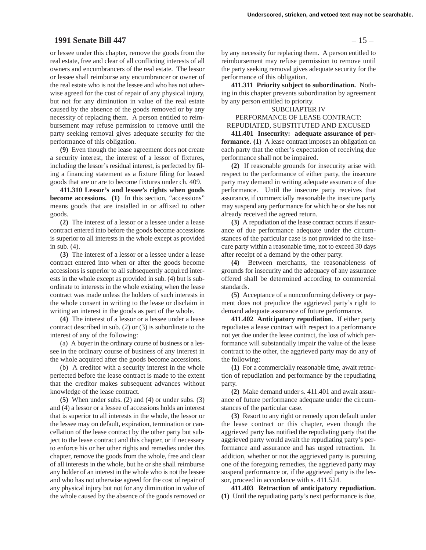# **1991 Senate Bill 447** – 15 –

or lessee under this chapter, remove the goods from the real estate, free and clear of all conflicting interests of all owners and encumbrancers of the real estate. The lessor or lessee shall reimburse any encumbrancer or owner of the real estate who is not the lessee and who has not otherwise agreed for the cost of repair of any physical injury, but not for any diminution in value of the real estate caused by the absence of the goods removed or by any necessity of replacing them. A person entitled to reimbursement may refuse permission to remove until the party seeking removal gives adequate security for the performance of this obligation.

**(9)** Even though the lease agreement does not create a security interest, the interest of a lessor of fixtures, including the lessor's residual interest, is perfected by filing a financing statement as a fixture filing for leased goods that are or are to become fixtures under ch. 409.

**411.310 Lessor's and lessee's rights when goods become accessions. (1)** In this section, "accessions" means goods that are installed in or affixed to other goods.

**(2)** The interest of a lessor or a lessee under a lease contract entered into before the goods become accessions is superior to all interests in the whole except as provided in sub. (4).

**(3)** The interest of a lessor or a lessee under a lease contract entered into when or after the goods become accessions is superior to all subsequently acquired interests in the whole except as provided in sub. (4) but is subordinate to interests in the whole existing when the lease contract was made unless the holders of such interests in the whole consent in writing to the lease or disclaim in writing an interest in the goods as part of the whole.

**(4)** The interest of a lessor or a lessee under a lease contract described in sub. (2) or (3) is subordinate to the interest of any of the following:

(a) A buyer in the ordinary course of business or a lessee in the ordinary course of business of any interest in the whole acquired after the goods become accessions.

(b) A creditor with a security interest in the whole perfected before the lease contract is made to the extent that the creditor makes subsequent advances without knowledge of the lease contract.

**(5)** When under subs. (2) and (4) or under subs. (3) and (4) a lessor or a lessee of accessions holds an interest that is superior to all interests in the whole, the lessor or the lessee may on default, expiration, termination or cancellation of the lease contract by the other party but subject to the lease contract and this chapter, or if necessary to enforce his or her other rights and remedies under this chapter, remove the goods from the whole, free and clear of all interests in the whole, but he or she shall reimburse any holder of an interest in the whole who is not the lessee and who has not otherwise agreed for the cost of repair of any physical injury but not for any diminution in value of the whole caused by the absence of the goods removed or

by any necessity for replacing them. A person entitled to reimbursement may refuse permission to remove until the party seeking removal gives adequate security for the performance of this obligation.

**411.311 Priority subject to subordination.** Nothing in this chapter prevents subordination by agreement by any person entitled to priority.

### SUBCHAPTER IV

PERFORMANCE OF LEASE CONTRACT: REPUDIATED, SUBSTITUTED AND EXCUSED

**411.401 Insecurity: adequate assurance of performance. (1)** A lease contract imposes an obligation on each party that the other's expectation of receiving due performance shall not be impaired.

**(2)** If reasonable grounds for insecurity arise with respect to the performance of either party, the insecure party may demand in writing adequate assurance of due performance. Until the insecure party receives that assurance, if commercially reasonable the insecure party may suspend any performance for which he or she has not already received the agreed return.

**(3)** A repudiation of the lease contract occurs if assurance of due performance adequate under the circumstances of the particular case is not provided to the insecure party within a reasonable time, not to exceed 30 days after receipt of a demand by the other party.

**(4)** Between merchants, the reasonableness of grounds for insecurity and the adequacy of any assurance offered shall be determined according to commercial standards.

**(5)** Acceptance of a nonconforming delivery or payment does not prejudice the aggrieved party's right to demand adequate assurance of future performance.

**411.402 Anticipatory repudiation.** If either party repudiates a lease contract with respect to a performance not yet due under the lease contract, the loss of which performance will substantially impair the value of the lease contract to the other, the aggrieved party may do any of the following:

**(1)** For a commercially reasonable time, await retraction of repudiation and performance by the repudiating party.

**(2)** Make demand under s. 411.401 and await assurance of future performance adequate under the circumstances of the particular case.

**(3)** Resort to any right or remedy upon default under the lease contract or this chapter, even though the aggrieved party has notified the repudiating party that the aggrieved party would await the repudiating party's performance and assurance and has urged retraction. In addition, whether or not the aggrieved party is pursuing one of the foregoing remedies, the aggrieved party may suspend performance or, if the aggrieved party is the lessor, proceed in accordance with s. 411.524.

**411.403 Retraction of anticipatory repudiation. (1)** Until the repudiating party's next performance is due,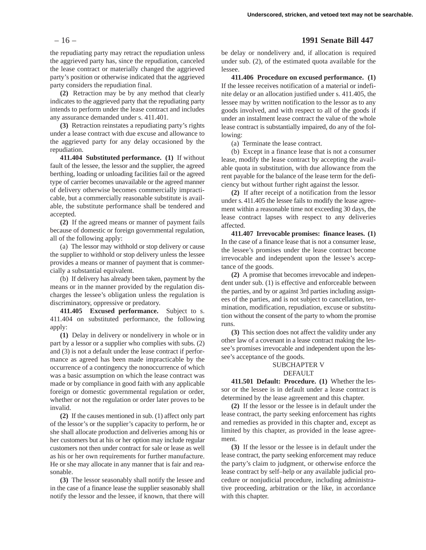the repudiating party may retract the repudiation unless the aggrieved party has, since the repudiation, canceled the lease contract or materially changed the aggrieved party's position or otherwise indicated that the aggrieved party considers the repudiation final.

**(2)** Retraction may be by any method that clearly indicates to the aggrieved party that the repudiating party intends to perform under the lease contract and includes any assurance demanded under s. 411.401.

**(3)** Retraction reinstates a repudiating party's rights under a lease contract with due excuse and allowance to the aggrieved party for any delay occasioned by the repudiation.

**411.404 Substituted performance. (1)** If without fault of the lessee, the lessor and the supplier, the agreed berthing, loading or unloading facilities fail or the agreed type of carrier becomes unavailable or the agreed manner of delivery otherwise becomes commercially impracticable, but a commercially reasonable substitute is available, the substitute performance shall be tendered and accepted.

**(2)** If the agreed means or manner of payment fails because of domestic or foreign governmental regulation, all of the following apply:

(a) The lessor may withhold or stop delivery or cause the supplier to withhold or stop delivery unless the lessee provides a means or manner of payment that is commercially a substantial equivalent.

(b) If delivery has already been taken, payment by the means or in the manner provided by the regulation discharges the lessee's obligation unless the regulation is discriminatory, oppressive or predatory.

**411.405 Excused performance.** Subject to s. 411.404 on substituted performance, the following apply:

**(1)** Delay in delivery or nondelivery in whole or in part by a lessor or a supplier who complies with subs. (2) and (3) is not a default under the lease contract if performance as agreed has been made impracticable by the occurrence of a contingency the nonoccurrence of which was a basic assumption on which the lease contract was made or by compliance in good faith with any applicable foreign or domestic governmental regulation or order, whether or not the regulation or order later proves to be invalid.

**(2)** If the causes mentioned in sub. (1) affect only part of the lessor's or the supplier's capacity to perform, he or she shall allocate production and deliveries among his or her customers but at his or her option may include regular customers not then under contract for sale or lease as well as his or her own requirements for further manufacture. He or she may allocate in any manner that is fair and reasonable.

**(3)** The lessor seasonably shall notify the lessee and in the case of a finance lease the supplier seasonably shall notify the lessor and the lessee, if known, that there will

# – 16 – **1991 Senate Bill 447**

be delay or nondelivery and, if allocation is required under sub. (2), of the estimated quota available for the lessee.

**411.406 Procedure on excused performance. (1)** If the lessee receives notification of a material or indefinite delay or an allocation justified under s. 411.405, the lessee may by written notification to the lessor as to any goods involved, and with respect to all of the goods if under an instalment lease contract the value of the whole lease contract is substantially impaired, do any of the following:

(a) Terminate the lease contract.

(b) Except in a finance lease that is not a consumer lease, modify the lease contract by accepting the available quota in substitution, with due allowance from the rent payable for the balance of the lease term for the deficiency but without further right against the lessor.

**(2)** If after receipt of a notification from the lessor under s. 411.405 the lessee fails to modify the lease agreement within a reasonable time not exceeding 30 days, the lease contract lapses with respect to any deliveries affected.

**411.407 Irrevocable promises: finance leases. (1)** In the case of a finance lease that is not a consumer lease, the lessee's promises under the lease contract become irrevocable and independent upon the lessee's acceptance of the goods.

**(2)** A promise that becomes irrevocable and independent under sub. (1) is effective and enforceable between the parties, and by or against 3rd parties including assignees of the parties, and is not subject to cancellation, termination, modification, repudiation, excuse or substitution without the consent of the party to whom the promise runs.

**(3)** This section does not affect the validity under any other law of a covenant in a lease contract making the lessee's promises irrevocable and independent upon the lessee's acceptance of the goods.

### SUBCHAPTER V **DEFAULT**

**411.501 Default: Procedure. (1)** Whether the lessor or the lessee is in default under a lease contract is determined by the lease agreement and this chapter.

**(2)** If the lessor or the lessee is in default under the lease contract, the party seeking enforcement has rights and remedies as provided in this chapter and, except as limited by this chapter, as provided in the lease agreement.

**(3)** If the lessor or the lessee is in default under the lease contract, the party seeking enforcement may reduce the party's claim to judgment, or otherwise enforce the lease contract by self–help or any available judicial procedure or nonjudicial procedure, including administrative proceeding, arbitration or the like, in accordance with this chapter.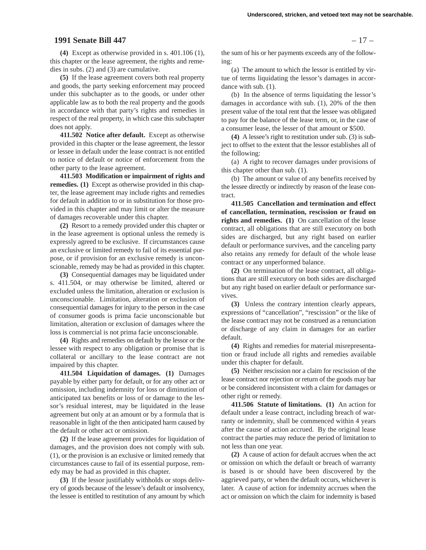# **1991 Senate Bill 447** – 17 –

**(4)** Except as otherwise provided in s. 401.106 (1), this chapter or the lease agreement, the rights and remedies in subs. (2) and (3) are cumulative.

**(5)** If the lease agreement covers both real property and goods, the party seeking enforcement may proceed under this subchapter as to the goods, or under other applicable law as to both the real property and the goods in accordance with that party's rights and remedies in respect of the real property, in which case this subchapter does not apply.

**411.502 Notice after default.** Except as otherwise provided in this chapter or the lease agreement, the lessor or lessee in default under the lease contract is not entitled to notice of default or notice of enforcement from the other party to the lease agreement.

**411.503 Modification or impairment of rights and remedies. (1)** Except as otherwise provided in this chapter, the lease agreement may include rights and remedies for default in addition to or in substitution for those provided in this chapter and may limit or alter the measure of damages recoverable under this chapter.

**(2)** Resort to a remedy provided under this chapter or in the lease agreement is optional unless the remedy is expressly agreed to be exclusive. If circumstances cause an exclusive or limited remedy to fail of its essential purpose, or if provision for an exclusive remedy is unconscionable, remedy may be had as provided in this chapter.

**(3)** Consequential damages may be liquidated under s. 411.504, or may otherwise be limited, altered or excluded unless the limitation, alteration or exclusion is unconscionable. Limitation, alteration or exclusion of consequential damages for injury to the person in the case of consumer goods is prima facie unconscionable but limitation, alteration or exclusion of damages where the loss is commercial is not prima facie unconscionable.

**(4)** Rights and remedies on default by the lessor or the lessee with respect to any obligation or promise that is collateral or ancillary to the lease contract are not impaired by this chapter.

**411.504 Liquidation of damages. (1)** Damages payable by either party for default, or for any other act or omission, including indemnity for loss or diminution of anticipated tax benefits or loss of or damage to the lessor's residual interest, may be liquidated in the lease agreement but only at an amount or by a formula that is reasonable in light of the then anticipated harm caused by the default or other act or omission.

**(2)** If the lease agreement provides for liquidation of damages, and the provision does not comply with sub. (1), or the provision is an exclusive or limited remedy that circumstances cause to fail of its essential purpose, remedy may be had as provided in this chapter.

**(3)** If the lessor justifiably withholds or stops delivery of goods because of the lessee's default or insolvency, the lessee is entitled to restitution of any amount by which

the sum of his or her payments exceeds any of the following:

(a) The amount to which the lessor is entitled by virtue of terms liquidating the lessor's damages in accordance with sub. (1).

(b) In the absence of terms liquidating the lessor's damages in accordance with sub. (1), 20% of the then present value of the total rent that the lessee was obligated to pay for the balance of the lease term, or, in the case of a consumer lease, the lesser of that amount or \$500.

**(4)** A lessee's right to restitution under sub. (3) is subject to offset to the extent that the lessor establishes all of the following:

(a) A right to recover damages under provisions of this chapter other than sub. (1).

(b) The amount or value of any benefits received by the lessee directly or indirectly by reason of the lease contract.

**411.505 Cancellation and termination and effect of cancellation, termination, rescission or fraud on rights and remedies. (1)** On cancellation of the lease contract, all obligations that are still executory on both sides are discharged, but any right based on earlier default or performance survives, and the canceling party also retains any remedy for default of the whole lease contract or any unperformed balance.

**(2)** On termination of the lease contract, all obligations that are still executory on both sides are discharged but any right based on earlier default or performance survives.

**(3)** Unless the contrary intention clearly appears, expressions of "cancellation", "rescission" or the like of the lease contract may not be construed as a renunciation or discharge of any claim in damages for an earlier default.

**(4)** Rights and remedies for material misrepresentation or fraud include all rights and remedies available under this chapter for default.

**(5)** Neither rescission nor a claim for rescission of the lease contract nor rejection or return of the goods may bar or be considered inconsistent with a claim for damages or other right or remedy.

**411.506 Statute of limitations. (1)** An action for default under a lease contract, including breach of warranty or indemnity, shall be commenced within 4 years after the cause of action accrued. By the original lease contract the parties may reduce the period of limitation to not less than one year.

**(2)** A cause of action for default accrues when the act or omission on which the default or breach of warranty is based is or should have been discovered by the aggrieved party, or when the default occurs, whichever is later. A cause of action for indemnity accrues when the act or omission on which the claim for indemnity is based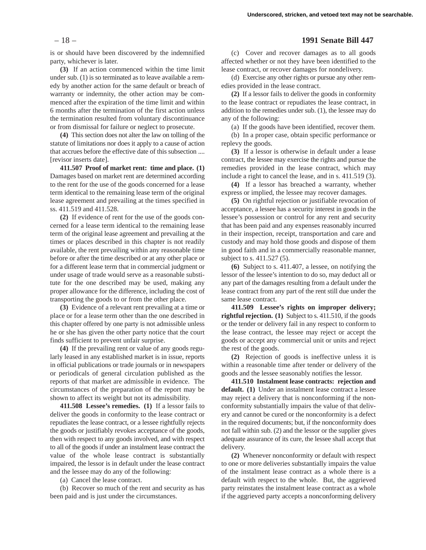is or should have been discovered by the indemnified party, whichever is later.

**(3)** If an action commenced within the time limit under sub. (1) is so terminated as to leave available a remedy by another action for the same default or breach of warranty or indemnity, the other action may be commenced after the expiration of the time limit and within 6 months after the termination of the first action unless the termination resulted from voluntary discontinuance or from dismissal for failure or neglect to prosecute.

**(4)** This section does not alter the law on tolling of the statute of limitations nor does it apply to a cause of action that accrues before the effective date of this subsection .... [revisor inserts date].

**411.507 Proof of market rent: time and place. (1)** Damages based on market rent are determined according to the rent for the use of the goods concerned for a lease term identical to the remaining lease term of the original lease agreement and prevailing at the times specified in ss. 411.519 and 411.528.

**(2)** If evidence of rent for the use of the goods concerned for a lease term identical to the remaining lease term of the original lease agreement and prevailing at the times or places described in this chapter is not readily available, the rent prevailing within any reasonable time before or after the time described or at any other place or for a different lease term that in commercial judgment or under usage of trade would serve as a reasonable substitute for the one described may be used, making any proper allowance for the difference, including the cost of transporting the goods to or from the other place.

**(3)** Evidence of a relevant rent prevailing at a time or place or for a lease term other than the one described in this chapter offered by one party is not admissible unless he or she has given the other party notice that the court finds sufficient to prevent unfair surprise.

**(4)** If the prevailing rent or value of any goods regularly leased in any established market is in issue, reports in official publications or trade journals or in newspapers or periodicals of general circulation published as the reports of that market are admissible in evidence. The circumstances of the preparation of the report may be shown to affect its weight but not its admissibility.

**411.508 Lessee's remedies. (1)** If a lessor fails to deliver the goods in conformity to the lease contract or repudiates the lease contract, or a lessee rightfully rejects the goods or justifiably revokes acceptance of the goods, then with respect to any goods involved, and with respect to all of the goods if under an instalment lease contract the value of the whole lease contract is substantially impaired, the lessor is in default under the lease contract and the lessee may do any of the following:

(a) Cancel the lease contract.

(b) Recover so much of the rent and security as has been paid and is just under the circumstances.

### – 18 – **1991 Senate Bill 447**

(c) Cover and recover damages as to all goods affected whether or not they have been identified to the lease contract, or recover damages for nondelivery.

(d) Exercise any other rights or pursue any other remedies provided in the lease contract.

**(2)** If a lessor fails to deliver the goods in conformity to the lease contract or repudiates the lease contract, in addition to the remedies under sub. (1), the lessee may do any of the following:

(a) If the goods have been identified, recover them.

(b) In a proper case, obtain specific performance or replevy the goods.

**(3)** If a lessor is otherwise in default under a lease contract, the lessee may exercise the rights and pursue the remedies provided in the lease contract, which may include a right to cancel the lease, and in s. 411.519 (3).

**(4)** If a lessor has breached a warranty, whether express or implied, the lessee may recover damages.

**(5)** On rightful rejection or justifiable revocation of acceptance, a lessee has a security interest in goods in the lessee's possession or control for any rent and security that has been paid and any expenses reasonably incurred in their inspection, receipt, transportation and care and custody and may hold those goods and dispose of them in good faith and in a commercially reasonable manner, subject to s. 411.527 (5).

**(6)** Subject to s. 411.407, a lessee, on notifying the lessor of the lessee's intention to do so, may deduct all or any part of the damages resulting from a default under the lease contract from any part of the rent still due under the same lease contract.

**411.509 Lessee's rights on improper delivery; rightful rejection. (1)** Subject to s. 411.510, if the goods or the tender or delivery fail in any respect to conform to the lease contract, the lessee may reject or accept the goods or accept any commercial unit or units and reject the rest of the goods.

**(2)** Rejection of goods is ineffective unless it is within a reasonable time after tender or delivery of the goods and the lessee seasonably notifies the lessor.

**411.510 Instalment lease contracts: rejection and default. (1)** Under an instalment lease contract a lessee may reject a delivery that is nonconforming if the nonconformity substantially impairs the value of that delivery and cannot be cured or the nonconformity is a defect in the required documents; but, if the nonconformity does not fall within sub. (2) and the lessor or the supplier gives adequate assurance of its cure, the lessee shall accept that delivery.

**(2)** Whenever nonconformity or default with respect to one or more deliveries substantially impairs the value of the instalment lease contract as a whole there is a default with respect to the whole. But, the aggrieved party reinstates the instalment lease contract as a whole if the aggrieved party accepts a nonconforming delivery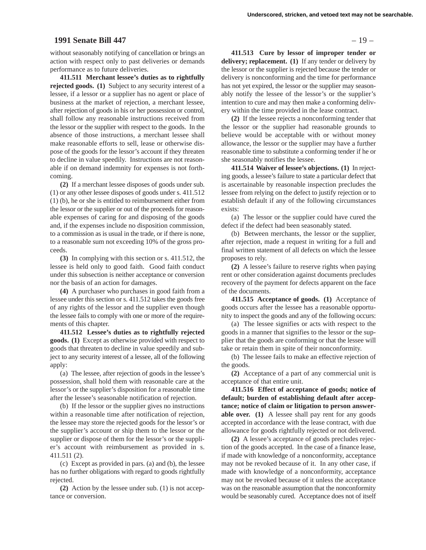### **1991 Senate Bill 447** – 19 –

without seasonably notifying of cancellation or brings an action with respect only to past deliveries or demands performance as to future deliveries.

**411.511 Merchant lessee's duties as to rightfully rejected goods. (1)** Subject to any security interest of a lessee, if a lessor or a supplier has no agent or place of business at the market of rejection, a merchant lessee, after rejection of goods in his or her possession or control, shall follow any reasonable instructions received from the lessor or the supplier with respect to the goods. In the absence of those instructions, a merchant lessee shall make reasonable efforts to sell, lease or otherwise dispose of the goods for the lessor's account if they threaten to decline in value speedily. Instructions are not reasonable if on demand indemnity for expenses is not forthcoming.

**(2)** If a merchant lessee disposes of goods under sub. (1) or any other lessee disposes of goods under s. 411.512 (1) (b), he or she is entitled to reimbursement either from the lessor or the supplier or out of the proceeds for reasonable expenses of caring for and disposing of the goods and, if the expenses include no disposition commission, to a commission as is usual in the trade, or if there is none, to a reasonable sum not exceeding 10% of the gross proceeds.

**(3)** In complying with this section or s. 411.512, the lessee is held only to good faith. Good faith conduct under this subsection is neither acceptance or conversion nor the basis of an action for damages.

**(4)** A purchaser who purchases in good faith from a lessee under this section or s. 411.512 takes the goods free of any rights of the lessor and the supplier even though the lessee fails to comply with one or more of the requirements of this chapter.

**411.512 Lessee's duties as to rightfully rejected goods. (1)** Except as otherwise provided with respect to goods that threaten to decline in value speedily and subject to any security interest of a lessee, all of the following apply:

(a) The lessee, after rejection of goods in the lessee's possession, shall hold them with reasonable care at the lessor's or the supplier's disposition for a reasonable time after the lessee's seasonable notification of rejection.

(b) If the lessor or the supplier gives no instructions within a reasonable time after notification of rejection, the lessee may store the rejected goods for the lessor's or the supplier's account or ship them to the lessor or the supplier or dispose of them for the lessor's or the supplier's account with reimbursement as provided in s. 411.511 (2).

(c) Except as provided in pars. (a) and (b), the lessee has no further obligations with regard to goods rightfully rejected.

**(2)** Action by the lessee under sub. (1) is not acceptance or conversion.

**411.513 Cure by lessor of improper tender or delivery; replacement. (1)** If any tender or delivery by the lessor or the supplier is rejected because the tender or delivery is nonconforming and the time for performance has not yet expired, the lessor or the supplier may seasonably notify the lessee of the lessor's or the supplier's intention to cure and may then make a conforming delivery within the time provided in the lease contract.

**(2)** If the lessee rejects a nonconforming tender that the lessor or the supplier had reasonable grounds to believe would be acceptable with or without money allowance, the lessor or the supplier may have a further reasonable time to substitute a conforming tender if he or she seasonably notifies the lessee.

**411.514 Waiver of lessee's objections. (1)** In rejecting goods, a lessee's failure to state a particular defect that is ascertainable by reasonable inspection precludes the lessee from relying on the defect to justify rejection or to establish default if any of the following circumstances exists:

(a) The lessor or the supplier could have cured the defect if the defect had been seasonably stated.

(b) Between merchants, the lessor or the supplier, after rejection, made a request in writing for a full and final written statement of all defects on which the lessee proposes to rely.

**(2)** A lessee's failure to reserve rights when paying rent or other consideration against documents precludes recovery of the payment for defects apparent on the face of the documents.

**411.515 Acceptance of goods. (1)** Acceptance of goods occurs after the lessee has a reasonable opportunity to inspect the goods and any of the following occurs:

(a) The lessee signifies or acts with respect to the goods in a manner that signifies to the lessor or the supplier that the goods are conforming or that the lessee will take or retain them in spite of their nonconformity.

(b) The lessee fails to make an effective rejection of the goods.

**(2)** Acceptance of a part of any commercial unit is acceptance of that entire unit.

**411.516 Effect of acceptance of goods; notice of default; burden of establishing default after acceptance; notice of claim or litigation to person answerable over. (1)** A lessee shall pay rent for any goods accepted in accordance with the lease contract, with due allowance for goods rightfully rejected or not delivered.

**(2)** A lessee's acceptance of goods precludes rejection of the goods accepted. In the case of a finance lease, if made with knowledge of a nonconformity, acceptance may not be revoked because of it. In any other case, if made with knowledge of a nonconformity, acceptance may not be revoked because of it unless the acceptance was on the reasonable assumption that the nonconformity would be seasonably cured. Acceptance does not of itself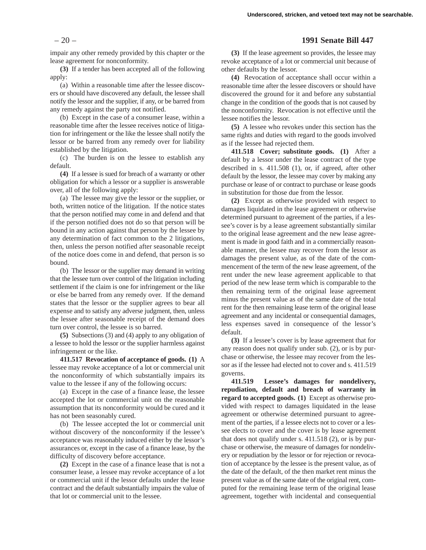impair any other remedy provided by this chapter or the lease agreement for nonconformity.

**(3)** If a tender has been accepted all of the following apply:

(a) Within a reasonable time after the lessee discovers or should have discovered any default, the lessee shall notify the lessor and the supplier, if any, or be barred from any remedy against the party not notified.

(b) Except in the case of a consumer lease, within a reasonable time after the lessee receives notice of litigation for infringement or the like the lessee shall notify the lessor or be barred from any remedy over for liability established by the litigation.

(c) The burden is on the lessee to establish any default.

**(4)** If a lessee is sued for breach of a warranty or other obligation for which a lessor or a supplier is answerable over, all of the following apply:

(a) The lessee may give the lessor or the supplier, or both, written notice of the litigation. If the notice states that the person notified may come in and defend and that if the person notified does not do so that person will be bound in any action against that person by the lessee by any determination of fact common to the 2 litigations, then, unless the person notified after seasonable receipt of the notice does come in and defend, that person is so bound.

(b) The lessor or the supplier may demand in writing that the lessee turn over control of the litigation including settlement if the claim is one for infringement or the like or else be barred from any remedy over. If the demand states that the lessor or the supplier agrees to bear all expense and to satisfy any adverse judgment, then, unless the lessee after seasonable receipt of the demand does turn over control, the lessee is so barred.

**(5)** Subsections (3) and (4) apply to any obligation of a lessee to hold the lessor or the supplier harmless against infringement or the like.

**411.517 Revocation of acceptance of goods. (1)** A lessee may revoke acceptance of a lot or commercial unit the nonconformity of which substantially impairs its value to the lessee if any of the following occurs:

(a) Except in the case of a finance lease, the lessee accepted the lot or commercial unit on the reasonable assumption that its nonconformity would be cured and it has not been seasonably cured.

(b) The lessee accepted the lot or commercial unit without discovery of the nonconformity if the lessee's acceptance was reasonably induced either by the lessor's assurances or, except in the case of a finance lease, by the difficulty of discovery before acceptance.

**(2)** Except in the case of a finance lease that is not a consumer lease, a lessee may revoke acceptance of a lot or commercial unit if the lessor defaults under the lease contract and the default substantially impairs the value of that lot or commercial unit to the lessee.

### – 20 – **1991 Senate Bill 447**

**(3)** If the lease agreement so provides, the lessee may revoke acceptance of a lot or commercial unit because of other defaults by the lessor.

**(4)** Revocation of acceptance shall occur within a reasonable time after the lessee discovers or should have discovered the ground for it and before any substantial change in the condition of the goods that is not caused by the nonconformity. Revocation is not effective until the lessee notifies the lessor.

**(5)** A lessee who revokes under this section has the same rights and duties with regard to the goods involved as if the lessee had rejected them.

**411.518 Cover; substitute goods. (1)** After a default by a lessor under the lease contract of the type described in s. 411.508 (1), or, if agreed, after other default by the lessor, the lessee may cover by making any purchase or lease of or contract to purchase or lease goods in substitution for those due from the lessor.

**(2)** Except as otherwise provided with respect to damages liquidated in the lease agreement or otherwise determined pursuant to agreement of the parties, if a lessee's cover is by a lease agreement substantially similar to the original lease agreement and the new lease agreement is made in good faith and in a commercially reasonable manner, the lessee may recover from the lessor as damages the present value, as of the date of the commencement of the term of the new lease agreement, of the rent under the new lease agreement applicable to that period of the new lease term which is comparable to the then remaining term of the original lease agreement minus the present value as of the same date of the total rent for the then remaining lease term of the original lease agreement and any incidental or consequential damages, less expenses saved in consequence of the lessor's default.

**(3)** If a lessee's cover is by lease agreement that for any reason does not qualify under sub. (2), or is by purchase or otherwise, the lessee may recover from the lessor as if the lessee had elected not to cover and s. 411.519 governs.

**411.519 Lessee's damages for nondelivery, repudiation, default and breach of warranty in regard to accepted goods. (1)** Except as otherwise provided with respect to damages liquidated in the lease agreement or otherwise determined pursuant to agreement of the parties, if a lessee elects not to cover or a lessee elects to cover and the cover is by lease agreement that does not qualify under s. 411.518 (2), or is by purchase or otherwise, the measure of damages for nondelivery or repudiation by the lessor or for rejection or revocation of acceptance by the lessee is the present value, as of the date of the default, of the then market rent minus the present value as of the same date of the original rent, computed for the remaining lease term of the original lease agreement, together with incidental and consequential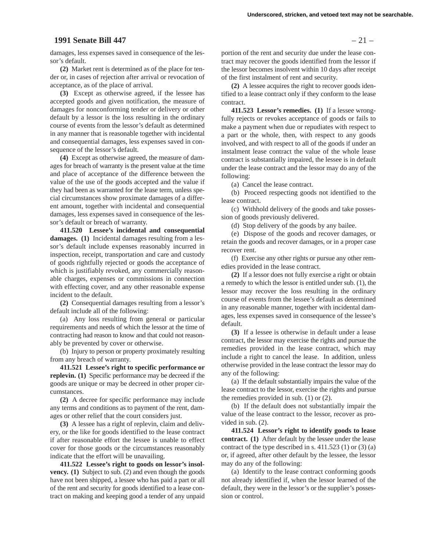# **1991 Senate Bill 447** – 21 –

damages, less expenses saved in consequence of the lessor's default.

**(2)** Market rent is determined as of the place for tender or, in cases of rejection after arrival or revocation of acceptance, as of the place of arrival.

**(3)** Except as otherwise agreed, if the lessee has accepted goods and given notification, the measure of damages for nonconforming tender or delivery or other default by a lessor is the loss resulting in the ordinary course of events from the lessor's default as determined in any manner that is reasonable together with incidental and consequential damages, less expenses saved in consequence of the lessor's default.

**(4)** Except as otherwise agreed, the measure of damages for breach of warranty is the present value at the time and place of acceptance of the difference between the value of the use of the goods accepted and the value if they had been as warranted for the lease term, unless special circumstances show proximate damages of a different amount, together with incidental and consequential damages, less expenses saved in consequence of the lessor's default or breach of warranty.

**411.520 Lessee's incidental and consequential damages. (1)** Incidental damages resulting from a lessor's default include expenses reasonably incurred in inspection, receipt, transportation and care and custody of goods rightfully rejected or goods the acceptance of which is justifiably revoked, any commercially reasonable charges, expenses or commissions in connection with effecting cover, and any other reasonable expense incident to the default.

**(2)** Consequential damages resulting from a lessor's default include all of the following:

(a) Any loss resulting from general or particular requirements and needs of which the lessor at the time of contracting had reason to know and that could not reasonably be prevented by cover or otherwise.

(b) Injury to person or property proximately resulting from any breach of warranty.

**411.521 Lessee's right to specific performance or replevin. (1)** Specific performance may be decreed if the goods are unique or may be decreed in other proper circumstances.

**(2)** A decree for specific performance may include any terms and conditions as to payment of the rent, damages or other relief that the court considers just.

**(3)** A lessee has a right of replevin, claim and delivery, or the like for goods identified to the lease contract if after reasonable effort the lessee is unable to effect cover for those goods or the circumstances reasonably indicate that the effort will be unavailing.

**411.522 Lessee's right to goods on lessor's insolvency. (1)** Subject to sub. (2) and even though the goods have not been shipped, a lessee who has paid a part or all of the rent and security for goods identified to a lease contract on making and keeping good a tender of any unpaid

portion of the rent and security due under the lease contract may recover the goods identified from the lessor if the lessor becomes insolvent within 10 days after receipt of the first instalment of rent and security.

**(2)** A lessee acquires the right to recover goods identified to a lease contract only if they conform to the lease contract.

**411.523 Lessor's remedies. (1)** If a lessee wrongfully rejects or revokes acceptance of goods or fails to make a payment when due or repudiates with respect to a part or the whole, then, with respect to any goods involved, and with respect to all of the goods if under an instalment lease contract the value of the whole lease contract is substantially impaired, the lessee is in default under the lease contract and the lessor may do any of the following:

(a) Cancel the lease contract.

(b) Proceed respecting goods not identified to the lease contract.

(c) Withhold delivery of the goods and take possession of goods previously delivered.

(d) Stop delivery of the goods by any bailee.

(e) Dispose of the goods and recover damages, or retain the goods and recover damages, or in a proper case recover rent.

(f) Exercise any other rights or pursue any other remedies provided in the lease contract.

**(2)** If a lessor does not fully exercise a right or obtain a remedy to which the lessor is entitled under sub. (1), the lessor may recover the loss resulting in the ordinary course of events from the lessee's default as determined in any reasonable manner, together with incidental damages, less expenses saved in consequence of the lessee's default.

**(3)** If a lessee is otherwise in default under a lease contract, the lessor may exercise the rights and pursue the remedies provided in the lease contract, which may include a right to cancel the lease. In addition, unless otherwise provided in the lease contract the lessor may do any of the following:

(a) If the default substantially impairs the value of the lease contract to the lessor, exercise the rights and pursue the remedies provided in sub. (1) or (2).

(b) If the default does not substantially impair the value of the lease contract to the lessor, recover as provided in sub. (2).

**411.524 Lessor's right to identify goods to lease contract. (1)** After default by the lessee under the lease contract of the type described in s.  $411.523$  (1) or (3) (a) or, if agreed, after other default by the lessee, the lessor may do any of the following:

(a) Identify to the lease contract conforming goods not already identified if, when the lessor learned of the default, they were in the lessor's or the supplier's possession or control.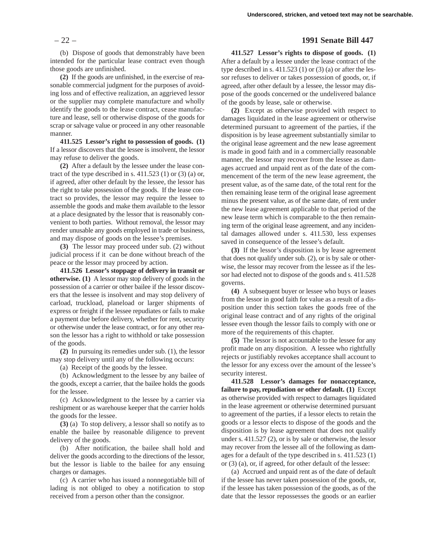(b) Dispose of goods that demonstrably have been intended for the particular lease contract even though those goods are unfinished.

**(2)** If the goods are unfinished, in the exercise of reasonable commercial judgment for the purposes of avoiding loss and of effective realization, an aggrieved lessor or the supplier may complete manufacture and wholly identify the goods to the lease contract, cease manufacture and lease, sell or otherwise dispose of the goods for scrap or salvage value or proceed in any other reasonable manner.

**411.525 Lessor's right to possession of goods. (1)** If a lessor discovers that the lessee is insolvent, the lessor may refuse to deliver the goods.

**(2)** After a default by the lessee under the lease contract of the type described in s.  $411.523(1)$  or  $(3)(a)$  or, if agreed, after other default by the lessee, the lessor has the right to take possession of the goods. If the lease contract so provides, the lessor may require the lessee to assemble the goods and make them available to the lessor at a place designated by the lessor that is reasonably convenient to both parties. Without removal, the lessor may render unusable any goods employed in trade or business, and may dispose of goods on the lessee's premises.

**(3)** The lessor may proceed under sub. (2) without judicial process if it can be done without breach of the peace or the lessor may proceed by action.

**411.526 Lessor's stoppage of delivery in transit or otherwise. (1)** A lessor may stop delivery of goods in the possession of a carrier or other bailee if the lessor discovers that the lessee is insolvent and may stop delivery of carload, truckload, planeload or larger shipments of express or freight if the lessee repudiates or fails to make a payment due before delivery, whether for rent, security or otherwise under the lease contract, or for any other reason the lessor has a right to withhold or take possession of the goods.

**(2)** In pursuing its remedies under sub. (1), the lessor may stop delivery until any of the following occurs:

(a) Receipt of the goods by the lessee.

(b) Acknowledgment to the lessee by any bailee of the goods, except a carrier, that the bailee holds the goods for the lessee.

(c) Acknowledgment to the lessee by a carrier via reshipment or as warehouse keeper that the carrier holds the goods for the lessee.

**(3)** (a) To stop delivery, a lessor shall so notify as to enable the bailee by reasonable diligence to prevent delivery of the goods.

(b) After notification, the bailee shall hold and deliver the goods according to the directions of the lessor, but the lessor is liable to the bailee for any ensuing charges or damages.

(c) A carrier who has issued a nonnegotiable bill of lading is not obliged to obey a notification to stop received from a person other than the consignor.

# – 22 – **1991 Senate Bill 447**

**411.527 Lessor's rights to dispose of goods. (1)** After a default by a lessee under the lease contract of the type described in s.  $411.523$  (1) or (3) (a) or after the lessor refuses to deliver or takes possession of goods, or, if agreed, after other default by a lessee, the lessor may dispose of the goods concerned or the undelivered balance of the goods by lease, sale or otherwise.

**(2)** Except as otherwise provided with respect to damages liquidated in the lease agreement or otherwise determined pursuant to agreement of the parties, if the disposition is by lease agreement substantially similar to the original lease agreement and the new lease agreement is made in good faith and in a commercially reasonable manner, the lessor may recover from the lessee as damages accrued and unpaid rent as of the date of the commencement of the term of the new lease agreement, the present value, as of the same date, of the total rent for the then remaining lease term of the original lease agreement minus the present value, as of the same date, of rent under the new lease agreement applicable to that period of the new lease term which is comparable to the then remaining term of the original lease agreement, and any incidental damages allowed under s. 411.530, less expenses saved in consequence of the lessee's default.

**(3)** If the lessor's disposition is by lease agreement that does not qualify under sub. (2), or is by sale or otherwise, the lessor may recover from the lessee as if the lessor had elected not to dispose of the goods and s. 411.528 governs.

**(4)** A subsequent buyer or lessee who buys or leases from the lessor in good faith for value as a result of a disposition under this section takes the goods free of the original lease contract and of any rights of the original lessee even though the lessor fails to comply with one or more of the requirements of this chapter.

**(5)** The lessor is not accountable to the lessee for any profit made on any disposition. A lessee who rightfully rejects or justifiably revokes acceptance shall account to the lessor for any excess over the amount of the lessee's security interest.

**411.528 Lessor's damages for nonacceptance, failure to pay, repudiation or other default. (1)** Except as otherwise provided with respect to damages liquidated in the lease agreement or otherwise determined pursuant to agreement of the parties, if a lessor elects to retain the goods or a lessor elects to dispose of the goods and the disposition is by lease agreement that does not qualify under s. 411.527 (2), or is by sale or otherwise, the lessor may recover from the lessee all of the following as damages for a default of the type described in s. 411.523 (1) or (3) (a), or, if agreed, for other default of the lessee:

(a) Accrued and unpaid rent as of the date of default if the lessee has never taken possession of the goods, or, if the lessee has taken possession of the goods, as of the date that the lessor repossesses the goods or an earlier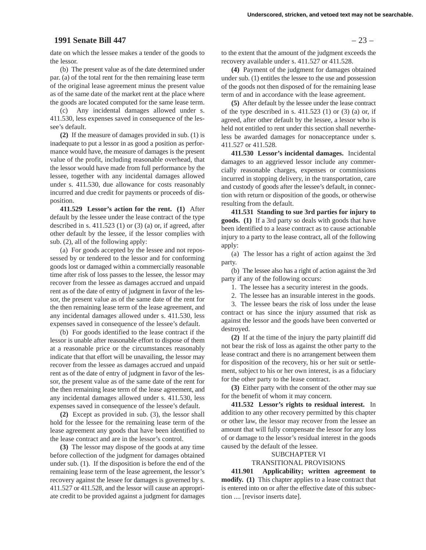# **1991 Senate Bill 447** – 23 –

date on which the lessee makes a tender of the goods to the lessor.

(b) The present value as of the date determined under par. (a) of the total rent for the then remaining lease term of the original lease agreement minus the present value as of the same date of the market rent at the place where the goods are located computed for the same lease term.

(c) Any incidental damages allowed under s. 411.530, less expenses saved in consequence of the lessee's default.

**(2)** If the measure of damages provided in sub. (1) is inadequate to put a lessor in as good a position as performance would have, the measure of damages is the present value of the profit, including reasonable overhead, that the lessor would have made from full performance by the lessee, together with any incidental damages allowed under s. 411.530, due allowance for costs reasonably incurred and due credit for payments or proceeds of disposition.

**411.529 Lessor's action for the rent. (1)** After default by the lessee under the lease contract of the type described in s. 411.523 (1) or (3) (a) or, if agreed, after other default by the lessee, if the lessor complies with sub. (2), all of the following apply:

(a) For goods accepted by the lessee and not repossessed by or tendered to the lessor and for conforming goods lost or damaged within a commercially reasonable time after risk of loss passes to the lessee, the lessor may recover from the lessee as damages accrued and unpaid rent as of the date of entry of judgment in favor of the lessor, the present value as of the same date of the rent for the then remaining lease term of the lease agreement, and any incidental damages allowed under s. 411.530, less expenses saved in consequence of the lessee's default.

(b) For goods identified to the lease contract if the lessor is unable after reasonable effort to dispose of them at a reasonable price or the circumstances reasonably indicate that that effort will be unavailing, the lessor may recover from the lessee as damages accrued and unpaid rent as of the date of entry of judgment in favor of the lessor, the present value as of the same date of the rent for the then remaining lease term of the lease agreement, and any incidental damages allowed under s. 411.530, less expenses saved in consequence of the lessee's default.

**(2)** Except as provided in sub. (3), the lessor shall hold for the lessee for the remaining lease term of the lease agreement any goods that have been identified to the lease contract and are in the lessor's control.

**(3)** The lessor may dispose of the goods at any time before collection of the judgment for damages obtained under sub. (1). If the disposition is before the end of the remaining lease term of the lease agreement, the lessor's recovery against the lessee for damages is governed by s. 411.527 or 411.528, and the lessor will cause an appropriate credit to be provided against a judgment for damages

**(4)** Payment of the judgment for damages obtained under sub. (1) entitles the lessee to the use and possession of the goods not then disposed of for the remaining lease term of and in accordance with the lease agreement.

**(5)** After default by the lessee under the lease contract of the type described in s.  $411.523$  (1) or (3) (a) or, if agreed, after other default by the lessee, a lessor who is held not entitled to rent under this section shall nevertheless be awarded damages for nonacceptance under s. 411.527 or 411.528.

**411.530 Lessor's incidental damages.** Incidental damages to an aggrieved lessor include any commercially reasonable charges, expenses or commissions incurred in stopping delivery, in the transportation, care and custody of goods after the lessee's default, in connection with return or disposition of the goods, or otherwise resulting from the default.

**411.531 Standing to sue 3rd parties for injury to goods. (1)** If a 3rd party so deals with goods that have been identified to a lease contract as to cause actionable injury to a party to the lease contract, all of the following apply:

(a) The lessor has a right of action against the 3rd party.

(b) The lessee also has a right of action against the 3rd party if any of the following occurs:

1. The lessee has a security interest in the goods.

2. The lessee has an insurable interest in the goods.

3. The lessee bears the risk of loss under the lease contract or has since the injury assumed that risk as against the lessor and the goods have been converted or destroyed.

**(2)** If at the time of the injury the party plaintiff did not bear the risk of loss as against the other party to the lease contract and there is no arrangement between them for disposition of the recovery, his or her suit or settlement, subject to his or her own interest, is as a fiduciary for the other party to the lease contract.

**(3)** Either party with the consent of the other may sue for the benefit of whom it may concern.

**411.532 Lessor's rights to residual interest.** In addition to any other recovery permitted by this chapter or other law, the lessor may recover from the lessee an amount that will fully compensate the lessor for any loss of or damage to the lessor's residual interest in the goods caused by the default of the lessee.

### SUBCHAPTER VI

TRANSITIONAL PROVISIONS

**411.901 Applicability; written agreement to modify. (1)** This chapter applies to a lease contract that is entered into on or after the effective date of this subsection .... [revisor inserts date].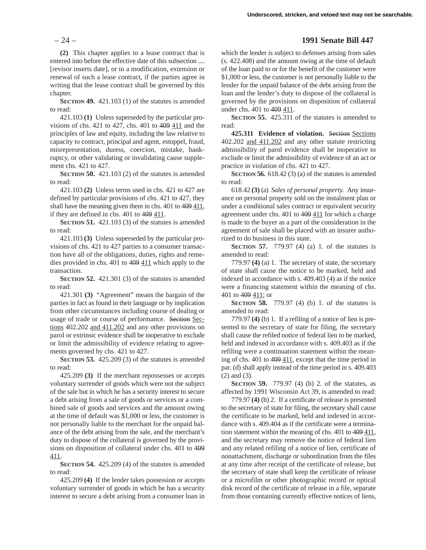**(2)** This chapter applies to a lease contract that is entered into before the effective date of this subsection .... [revisor inserts date], or to a modification, extension or renewal of such a lease contract, if the parties agree in writing that the lease contract shall be governed by this chapter.

**SECTION 49.** 421.103 (1) of the statutes is amended to read:

421.103 **(1)** Unless superseded by the particular provisions of chs. 421 to 427, chs. 401 to 409 411 and the principles of law and equity, including the law relative to capacity to contract, principal and agent, estoppel, fraud, misrepresentation, duress, coercion, mistake, bankruptcy, or other validating or invalidating cause supplement chs. 421 to 427.

**SECTION 50.** 421.103 (2) of the statutes is amended to read:

421.103 **(2)** Unless terms used in chs. 421 to 427 are defined by particular provisions of chs. 421 to 427, they shall have the meaning given them in chs. 401 to 409 411, if they are defined in chs.  $401$  to  $409$   $411$ .

**SECTION 51.** 421.103 (3) of the statutes is amended to read:

421.103 **(3)** Unless superseded by the particular provisions of chs. 421 to 427 parties to a consumer transaction have all of the obligations, duties, rights and remedies provided in chs. 401 to 409 411 which apply to the transaction.

**SECTION 52.** 421.301 (3) of the statutes is amended to read:

421.301 **(3)** "Agreement" means the bargain of the parties in fact as found in their language or by implication from other circumstances including course of dealing or usage of trade or course of performance. Section Sections 402.202 and 411.202 and any other provisions on parol or extrinsic evidence shall be inoperative to exclude or limit the admissibility of evidence relating to agreements governed by chs. 421 to 427.

**SECTION 53.** 425.209 (3) of the statutes is amended to read:

425.209 **(3)** If the merchant repossesses or accepts voluntary surrender of goods which were not the subject of the sale but in which he has a security interest to secure a debt arising from a sale of goods or services or a combined sale of goods and services and the amount owing at the time of default was \$1,000 or less, the customer is not personally liable to the merchant for the unpaid balance of the debt arising from the sale, and the merchant's duty to dispose of the collateral is governed by the provisions on disposition of collateral under chs. 401 to 409 411.

**SECTION 54.** 425.209 (4) of the statutes is amended to read:

425.209 **(4)** If the lender takes possession or accepts voluntary surrender of goods in which he has a security interest to secure a debt arising from a consumer loan in

### – 24 – **1991 Senate Bill 447**

which the lender is subject to defenses arising from sales (s. 422.408) and the amount owing at the time of default of the loan paid to or for the benefit of the customer were \$1,000 or less, the customer is not personally liable to the lender for the unpaid balance of the debt arising from the loan and the lender's duty to dispose of the collateral is governed by the provisions on disposition of collateral under chs. 401 to 409 411.

**SECTION 55.** 425.311 of the statutes is amended to read:

**425.311 Evidence of violation.** Section Sections 402.202 and 411.202 and any other statute restricting admissibility of parol evidence shall be inoperative to exclude or limit the admissibility of evidence of an act or practice in violation of chs. 421 to 427.

**SECTION 56.** 618.42 (3) (a) of the statutes is amended to read:

618.42 **(3)** (a) *Sales of personal property.* Any insurance on personal property sold on the instalment plan or under a conditional sales contract or equivalent security agreement under chs. 401 to 409 411 for which a charge is made to the buyer as a part of the consideration in the agreement of sale shall be placed with an insurer authorized to do business in this state.

**SECTION 57.** 779.97 (4) (a) 1. of the statutes is amended to read:

779.97 **(4)** (a) 1. The secretary of state, the secretary of state shall cause the notice to be marked, held and indexed in accordance with s. 409.403 (4) as if the notice were a financing statement within the meaning of chs. 401 to 409 411; or

**SECTION 58.** 779.97 (4) (b) 1. of the statutes is amended to read:

779.97 **(4)** (b) 1. If a refiling of a notice of lien is presented to the secretary of state for filing, the secretary shall cause the refiled notice of federal lien to be marked, held and indexed in accordance with s. 409.403 as if the refiling were a continuation statement within the meaning of chs.  $401$  to  $409$   $411$ , except that the time period in par. (d) shall apply instead of the time period in s. 409.403 (2) and (3).

**SECTION 59.** 779.97 (4) (b) 2. of the statutes, as affected by 1991 Wisconsin Act 39, is amended to read:

779.97 **(4)** (b) 2. If a certificate of release is presented to the secretary of state for filing, the secretary shall cause the certificate to be marked, held and indexed in accordance with s. 409.404 as if the certificate were a termination statement within the meaning of chs.  $401$  to  $409$   $411$ , and the secretary may remove the notice of federal lien and any related refiling of a notice of lien, certificate of nonattachment, discharge or subordination from the files at any time after receipt of the certificate of release, but the secretary of state shall keep the certificate of release or a microfilm or other photographic record or optical disk record of the certificate of release in a file, separate from those containing currently effective notices of liens,